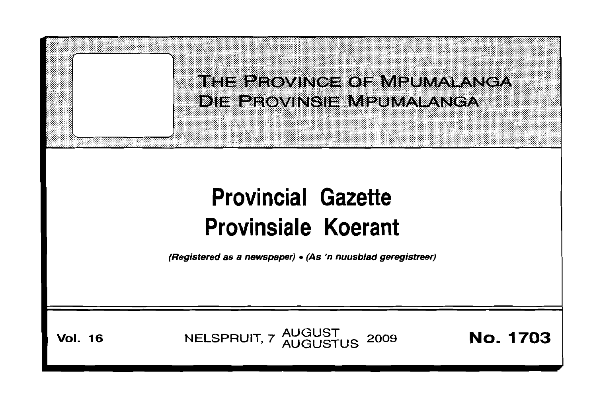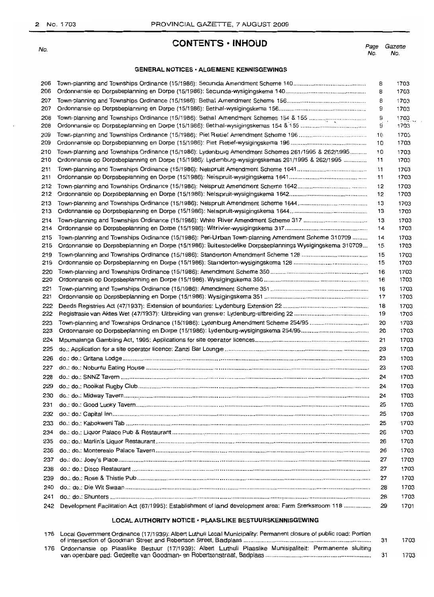No.

# **CONTENTS • INHOUD**

Page No. Gazette No.

# **GENERAL NOTICES· ALGEMENE KENNISGEWINGS**

| 206<br>206 |                                                                                                         | 8<br>8   | 1703<br>1703 |
|------------|---------------------------------------------------------------------------------------------------------|----------|--------------|
| 207        |                                                                                                         | 8        | 1703         |
| 207        |                                                                                                         | 9        | 1703         |
| 208<br>208 |                                                                                                         | S<br>9   | 1703<br>1703 |
| 209        |                                                                                                         | 10       | 1703         |
| 209        |                                                                                                         | 10       | 1703         |
| 210        | Town-planning and Townships Ordinance (15/1986): Lydenburg Amendment Schemes 261/1995 & 262/1995        | 10       | 1703         |
| 210        | Ordonnansie op Dorpsbeplanning en Dorpe (15/1986): Lydenburg-wysigingskemas 261/1995 & 262/1995         | 11       | 1703         |
| 211<br>211 |                                                                                                         | 11<br>11 | 1703<br>1703 |
| 212        |                                                                                                         | 12       | 1703         |
| 212        |                                                                                                         | 12       | 1703         |
| 213        |                                                                                                         | 13       | 1703         |
| 213        |                                                                                                         | 13       | 1703         |
| 214        |                                                                                                         | 13       | 1703         |
| 214        |                                                                                                         | 14       | 1703         |
| 215        | Town-planning and Townships Ordinance (15/1986): Peri-Urban Town-planning Amendment Scheme 310709       | 14       | 1703         |
| 215        | Ordonnansie op Dorpsbeplanning en Dorpe (15/1986): Buitestedelike Dorpsbeplannings Wysigingskema 310709 | 15       | 1703         |
| 219        |                                                                                                         | 15       | 1703         |
| 219        |                                                                                                         | 15       | 1703         |
| 220<br>220 |                                                                                                         | 16<br>16 | 1703<br>1703 |
| 221        |                                                                                                         | 16       | 1703         |
| 221        |                                                                                                         | 17       | 1703         |
| 222        |                                                                                                         | 18       | 1703         |
| 222        |                                                                                                         | 19       | 1703         |
| 223        | Town-planning and Townships Ordinance (15/1986): Lydenburg Amendment Scheme 254/95                      | 20       | 1703         |
| 223        |                                                                                                         | 20       | 1703         |
| 224        |                                                                                                         | 21       | 1703         |
| 225        |                                                                                                         | 23       | 1703         |
| 226        |                                                                                                         | 23       | 1703         |
| 227        |                                                                                                         | 23       | 1703         |
| 228        |                                                                                                         | 24       | 1703         |
| 229        |                                                                                                         | 24       | 1703         |
| 230        |                                                                                                         | 24       | 1703         |
| 231        |                                                                                                         | 25       | 1703         |
| 232        |                                                                                                         | 25       | 1703         |
| 233        |                                                                                                         | 25       | 1703         |
| 234        |                                                                                                         | 26       | 1703         |
| 235        |                                                                                                         | 26       | 1703         |
| 236        |                                                                                                         | 26       | 1703         |
| 237        |                                                                                                         | 27       | 1703         |
| 238        |                                                                                                         | 27       | 1703         |
| 239        |                                                                                                         | 27       | 1703         |
| 240        |                                                                                                         | 28       | 1703         |
| 241        |                                                                                                         | 28       | 1703         |
| 242        | Development Facilitation Act (67/1995): Establishment of land development area: Farm Sterkstroom 118    | 29       | 1701         |

# **LOCAL AUTHORITY NOTICE· PLAASLIKE BESTUURSKENNISGEWING**

| 176 Local Government Ordinance (17/1939): Albert Luthuli Local Municipality: Permanent closure of public road: Portion |  |      |
|------------------------------------------------------------------------------------------------------------------------|--|------|
|                                                                                                                        |  | 1703 |
| 176 Ordonnansie op Plaaslike Bestuur (17/1939): Albert Luthuli Plaaslike Munisipaliteit: Permanente sluiting           |  |      |
|                                                                                                                        |  | 1703 |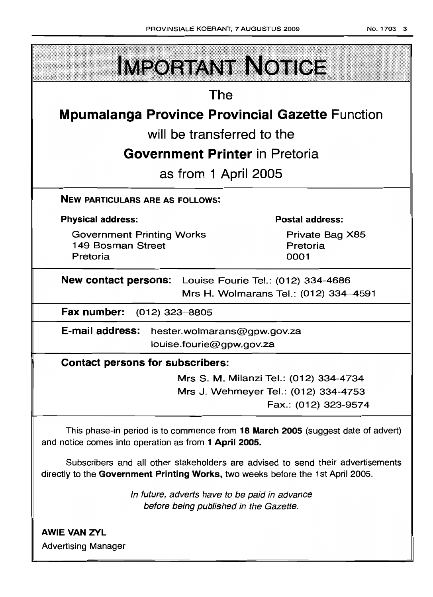| <b>IMPORTANT NOTICE</b>                                                                                                                                            |                                     |  |  |  |  |
|--------------------------------------------------------------------------------------------------------------------------------------------------------------------|-------------------------------------|--|--|--|--|
| The                                                                                                                                                                |                                     |  |  |  |  |
| <b>Mpumalanga Province Provincial Gazette Function</b>                                                                                                             |                                     |  |  |  |  |
| will be transferred to the                                                                                                                                         |                                     |  |  |  |  |
| <b>Government Printer</b> in Pretoria                                                                                                                              |                                     |  |  |  |  |
| as from 1 April 2005                                                                                                                                               |                                     |  |  |  |  |
| <b>NEW PARTICULARS ARE AS FOLLOWS:</b>                                                                                                                             |                                     |  |  |  |  |
| <b>Physical address:</b>                                                                                                                                           | <b>Postal address:</b>              |  |  |  |  |
| <b>Government Printing Works</b><br>149 Bosman Street<br>Pretoria                                                                                                  | Private Bag X85<br>Pretoria<br>0001 |  |  |  |  |
| <b>New contact persons:</b> Louise Fourie Tel.: (012) 334-4686<br>Mrs H. Wolmarans Tel.: (012) 334-4591                                                            |                                     |  |  |  |  |
| Fax number: (012) 323-8805                                                                                                                                         |                                     |  |  |  |  |
| E-mail address:<br>hester.wolmarans@gpw.gov.za<br>louise.fourie@gpw.gov.za                                                                                         |                                     |  |  |  |  |
| <b>Contact persons for subscribers:</b>                                                                                                                            |                                     |  |  |  |  |
| Mrs S. M. Milanzi Tel.: (012) 334-4734                                                                                                                             |                                     |  |  |  |  |
| Mrs J. Wehmeyer Tel.: (012) 334-4753                                                                                                                               | Fax.: (012) 323-9574                |  |  |  |  |
| This phase-in period is to commence from 18 March 2005 (suggest date of advert)<br>and notice comes into operation as from 1 April 2005.                           |                                     |  |  |  |  |
| Subscribers and all other stakeholders are advised to send their advertisements<br>directly to the Government Printing Works, two weeks before the 1st April 2005. |                                     |  |  |  |  |
| In future, adverts have to be paid in advance<br>before being published in the Gazette.                                                                            |                                     |  |  |  |  |
| <b>AWIE VAN ZYL</b><br><b>Advertising Manager</b>                                                                                                                  |                                     |  |  |  |  |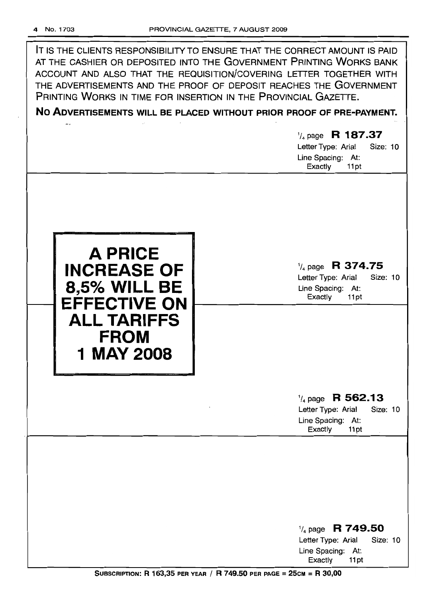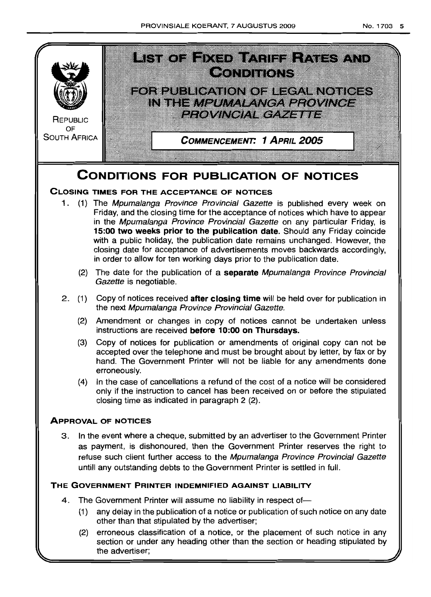

the advertiser;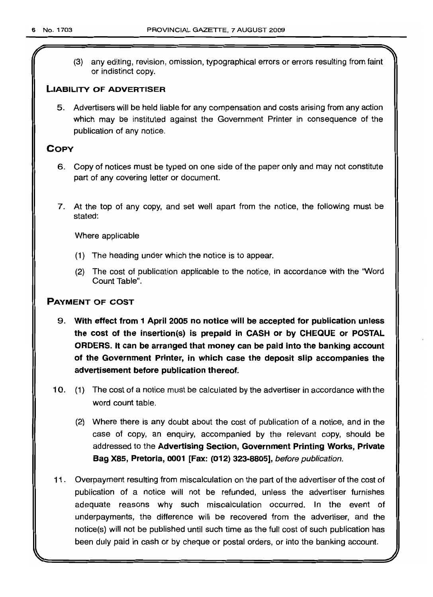(3) any editing, revision, omission, typographical errors or errors resulting from faint or indistinct copy.

# LIABILITY OF ADVERTISER

5. Advertisers will be held liable for any compensation and costs arising from any action which may be instituted against the Government Printer in consequence of the publication of any notice.

# **COPY**

- 6. Copy of notices must be typed on one side of the paper only and may not constitute part of any covering letter or document.
- 7. At the top of any copy, and set well apart from the notice, the following must be stated:

Where applicable

- (1) The heading under which the notice is to appear.
- (2) The cost of publication applicable to the notice, in accordance with the "Word Count Table".

# PAYMENT OF COST

- 9. With effect from 1 April 2005 no notice will be accepted for publication unless the cost of the insertion(s) is prepaid in CASH or by CHEQUE or POSTAL ORDERS. It can be arranged that money can be paid into the banking account of the Government Printer, in which case the deposit slip accompanies the advertisement before publication thereof.
- 10. (1) The cost of a notice must be calculated by the advertiser in accordance with the word count table.
	- (2) Where there is any doubt about the cost of publication of a notice, and in the case of copy, an enquiry, accompanied by the relevant copy, should be addressed to the Advertising Section, Government Printing Works, Private Bag X85, Pretoria, 0001 [Fax: (012) 323-8805], before publication.
- 11. Overpayment resulting from miscalculation on the part of the advertiser of the cost of publication of a notice will not be refunded, unless the advertiser furnishes adequate reasons why such miscalculation occurred. In the event of underpayments, the difference will be recovered from the advertiser, and the notice(s) will not be published until such time as the full cost of such publication has been duly paid in cash or by cheque or postal orders, or into the banking account.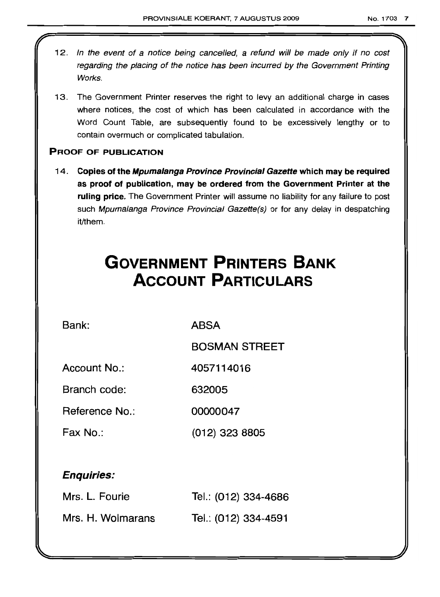- 12. In the event of a notice being cancelled, a refund will be made only if no cost regarding the placing of the notice has been incurred by the Government Printing Works.
- 13. The Government Printer reserves the right to levy an additional charge in cases where notices, the cost of which has been calculated in accordance with the Word Count Table, are subsequently found to be excessively lengthy or to contain overmuch or complicated tabulation.

# PROOF OF PUBLICATION

14. Copies of the Mpumalanga Province Provincial Gazette which may be required as proof of publication, may be ordered from the Government Printer at the ruling price. The Government Printer will assume no liability for any failure to post such Mpumalanga Province Provincial Gazette(s) or for any delay in despatching it/them.

# **GOVERNMENT PRINTERS BANK ACCOUNT PARTICULARS**

Bank: ABSA

BOSMAN STREET

Account No.: 4057114016

Branch code: 632005

Reference No.: 00000047

Fax No.: (012) 323 8805

# Enquiries:

| Mrs. L. Fourie    | Tel.: (012) 334-4686 |
|-------------------|----------------------|
| Mrs. H. Wolmarans | Tel.: (012) 334-4591 |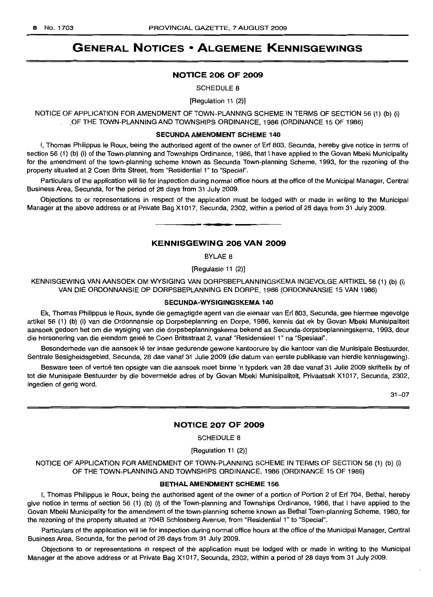# **GENERAL NOTICES • ALGEMENE KENNISGEWINGS**

#### **NOTICE 206 OF 2009**

SCHEDULE 8

[Regulation 11 (2)]

NOTICE OF APPLICATION FOR AMENDMENT OF TOWN-PLANNING SCHEME IN TERMS OF SECTION 56 (1) (b) (i) .OF THE TOWN-PLANNING AND TOWNSHIPS ORDINANCE, 1986 (ORDINANCE 15 OF 1986)

#### SECUNDA AMENDMENT **SCHEME** 140

I, Thomas Philippus Ie Roux, being the authorised agent of the owner of Erf 803, Secunda, hereby give notice in terms of section 56 (1) (b) (i) of the Town-planning and Townships Ordinance, 1986, that I have applied to the Govan Mbeki Municipality for the amendment of the town-planning scheme known as Secunda Town-planning Scheme, 1993, for the rezoning of the property situated at 2 Coen Brits Street, from "Residential 1" to "Special".

Particulars of the application will lie for inspection during normal office hours at the office of the Municipal Manager, Central Business Area, Secunda, for the period of 28 days from 31 July 2009.

Objections to or representations in respect of the application must be lodged with or made in writing to the Municipal Manager at the above address or at Private Bag X1017, Secunda, 2302, within a period of 28 days from 31 July 2009.

**. -**

## **KENNISGEWING 206 VAN 2009**

BYLAE 8

[Regulasie 11 (2)]

KENNISGEWING VAN AANSOEK OM WYSIGING VAN DORPSBEPLANNINGSKEMA INGEVOLGE ARTIKEL 56 (1) (b) (i) VAN DIE ORDONNANSIE OP DORPSBEPLANNING EN DORPE, 1986 (ORDONNANSIE 15 VAN 1986)

#### **SEClINDA-WYSIGINGSKEMA** 140

Ek, Thomas Philippus Ie Roux, synde die gemagtigde agent van die eienaar van Erf 803, Secunda, gee hiermee ingevolge artikel 56 (1) (b) (i) van die Ordonnansie op Dorpsbeplanning en Dorpe, 1986, kennis dat ek by Govan Mbeki Munisipaliteit aansoek gedoen het om die wysiging van die dorpsbeplanningskema bekend as Secunda-dorpsbeplanningskema, 1993, deur die hersonering van die eiendom geleë te Coen Britsstraat 2, vanaf "Residensieel 1" na "Spesiaal".

Besonderhede van die aansoek lê ter insae gedurende gewone kantoorure by die kantoor van die Munisipale Bestuurder, Sentrale Besigheidsgebied, Secunda, 28 dae vanaf 31 Julie 2009 (die datum van eerste publikasie van hierdie kennisgewing).

Besware teen of vertoë ten opsigte van die aansoek moet binne 'n typderk van 28 dae vanaf 31 Julie 2009 skriftelik by of tot die Munisipale Bestuurder by die bovermelde adres of by Govan Mbeki Munisipaliteit, Privaatsak X1017, Secunda, 2302, ingedien of gerig word.

31-07

# **NOTICE 207 OF 2009**

SCHEDULE 8

[Regulation 11 (2)]

NOTICE OF APPLICATION FOR AMENDMENT OF TOWN-PLANNING SCHEME IN TERMS OF SECTION 56 (1) (b) (i) OF THE TOWN-PLANNING AND TOWNSHIPS ORDINANCE, 1986 (ORDINANCE 15 OF 1986)

#### **BETHALAMENDMENT SCHEME** 156

I, Thomas Philippus Ie Roux, being the authorised agent of the owner of a portion of Portion 2 of Erf 704, Bethal, hereby give notice in terms of section 56 (1) (b) (i) of the Town-planning and Townships Ordinance, 1986, that I have applied to the Govan Mbeki Municipality for the amendment of the town-planning scheme known as Bethal Town-planning Scheme, 1980, for the rezoning of the property situated at 704B Schlosberg Avenue, from "Residential 1" to "Special".

Particulars of the application will lie for inspection during normal office hours at the office of the Municipal Manager, Central Business Area, Secunda, for the period of 28 days from 31 July 2009.

Objections to or representations in respect of the application must be lodged with or made in writing to the Municipal Manager at the above address or at Private Bag X1017, Secunda, 2302, within a period of 28 days from 31 July 2009.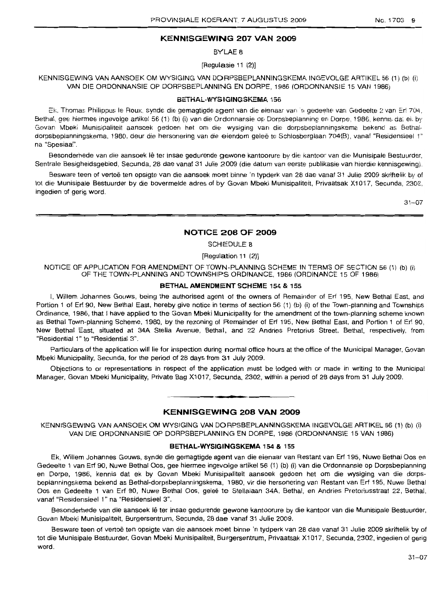# **KENNISGEWING 207 VAN 2009**

BYLAE 8

[Regulasie 11 (2)]

KENNISGEWING VAN AANSOEK OM WYSIGING VAN DORPSBEPLANNINGSKEMA INGEVOLGE ARTIKEL 56 (1) (b) (i) VAN DIE ORDONNANSIE OP DORPSBEPLANNING EN DORPE, 1986 (ORDONNANSIE 15 VAN 1986)

#### BETHAL-WYSIGINGSKEMA 156

Ek, Thomas Philippus Ie Roux, synde die gemagtigde agent van die eienaar van 'n gedeelte van Gedeelte 2 van Eri 704, Bethal, gee hiermee ingevolge artikel 56 (1) (b) (i) van die Ordonnansie op Dorpsbeplanning en Dorpe, 1986, kennis dat eit by Govan Mbeki Munisipaliteil aansoek gedoen het om die wysiging van die dorpsbepiannmgskema bekend as 8ethaldorpsbeplanningskema, 1980, deur die hersonering van die eiendom gelee te Schlosberglaan 704(B), vanaf "Residensieel 1" na "Spesiaal".

Besonderhede van die aansoek lê ter insae gedurende gewone kantoorure by die kantoor van die Munisipale Bestuurder, Sentrale Besigheidsgebied, Secunda, 28 dae vanaf 31 Julie 2009 (die datum van eerste publikasie van hierdie kennisgewing).

Besware teen of vertoë ten opsigte van die aansoek moet binne 'n typderk van 28 dae vanaf 31 Julie 2009 skriftelik by of tot die Munisipale Bestuurder by die bovermelde adres of by Govan Mbeki Munisipaliteit, Privaatsak X1017, Secunda, 2302, ingedien of gerig word.

31-07

#### **NOTICE 208 OF 2009**

SCHEDULE 8

[Regulation 11 (2)]

NOTICE OF APPLICATION FOR AMENDMENT OF TOWN-PLANNING SCHEME IN TERMS OF SECTION 56 (1) (b) (i) OF THE TOWN-PLANNING AND TOWNSHIPS ORDINANCE, 1986 (ORDINANCE 15 OF 1986)

#### BETHAL **AMENDMENT** SCHEME 154 & 155

I, Willem Johannes Gouws, being the authorised agent of the owners ot Remainder of Erf 195, New Bethal East, and Portion 1 of Erf 90, New Bethal East, hereby give notice in terms of section 56 (1) (b) (i) ot the Town-planning and Townships Ordinance, 1986, that I have applied to the Govan Mbeki Municipality for the amendment of the town-planning scheme known as Bethal Town-planning Scheme, 1980, by the rezoning of Remainder of Erf 195, New Bethal East, and Portion 1 of Erf 90, New Bethal East, situated at 34A Stella Avenue, Bethal, and 22 Andries Pretorius Street, Bethal, respectively, from "Residential 1" to "Residential 3".

Particulars of the application will lie for inspection during normal office hours at the office of the Municipal Manager, Govan Mbeki Municipality, Secunda, for the period of 28 days from 31 July 2009.

Objections to or representations in respect of the application must be lodged with or made in writing to the Municipal Manager, Govan Mbeki Municipality, Private Bag X1 017, Secunda, 2302, within a period of 28 days from 31 July 2009.

# **KENNISGEWING 208 VAN 2009**

**•**

KENNISGEWING VAN AANSOEK OM WYSIGING VAN DORPSBEPLANNINGSKEMA INGEVOLGE ARTIKEL 56 (1) (b) (i) VAN DIE ORDONNANSIE OP DORPSBEPLANNING EN DORPE, 1986 (ORDONNANSIE 15 VAN 1986)

#### BETHAL~WYSIGINGSKeMA 154 & 155

Ek, Willem Johannes Gouws, synde die gemagtigde agent van die eienaar van Restant van Erf 195, Nuwe Bethal Oos en Gedeelte 1 van Erf 90, Nuwe Bethal Oos, gee hiermee ingevolge artikel 56 (1) (b) (i) van die Ordonnansie op Dorpsbeplanning en Dorpe, 1986, kennis dat ek by Govan Mbeki Munisipaliteit aansoek gedoen het am die wysiging van die dorpsbeplanningskema bekend as Bethal-dorpsbeplanningskema, 1980, vir die hersonering van Restant van Erf 195, Nuwe Bethal 005 en Gedeelte 1 van Erf 90, Nuwe Bethal Oos, gelee te Stellalaan 34A, Bethal, en Andries Pretoriusstraat 22, Bethal, vanaf "Residensieel 1" na "Residensieel 3".

Besonderhede van die aansoek lê ter insae gedurende gewone kantoorure by die kantoor van die Munisipale Bestuurder, Govan Mbeki Munisipaliteit, Burgersentrum, Secunda, 28 dae vanaf 31 Julie 2009.

Besware teen of vertoë ten opsigte van die aansoek moet binne 'n tydperk van 28 dae vanaf 31 Julie 2009 skriftelik by of tot die Munisipale Bestuurder, Govan Mbeki Munisipaliteit, Burgersentrum, Privaatsak X1017, Secunda, 2302, ingedien of gerig word.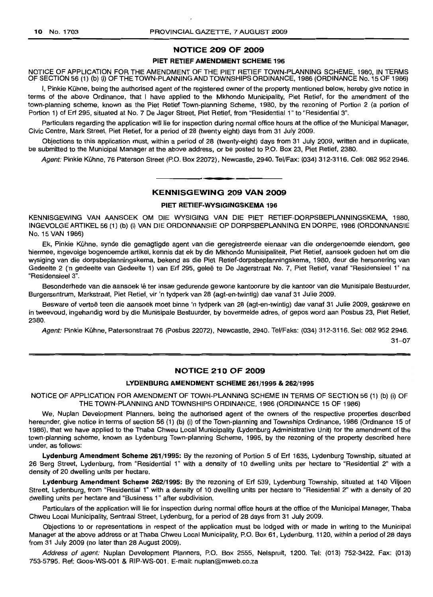#### NOTICE 209 OF 2009

#### PIET RETIEF AMENDMENT SCHEME 196

NOTICE OF APPLICATION FOR THE AMENDMENT OF THE PIET RETIEF TOWN-PLANNING SCHEME, 1980, IN TERMS OF SECTION 56 (1) (b) (i) OF THE TOWN-PLANNING AND TOWNSHIPS ORDINANCE, 1986 (ORDINANCE No. 15 OF 1986)

I, Pinkie Kühne, being the authorised agent of the registered owner of the property mentioned below, hereby give notice in terms of the above Ordinance, that I have applied to the Mkhondo Municipality, Piet Retief, for the amendment of the town-planning scheme, known as the Piet Retief Town-planning Scheme, 1980, by the rezoning of Portion 2 (a portion of Portion 1) of Erf 295, situated at No. 7 De Jager Street, Piet Retief, from "Residential 1" to "Residential 3".

Particulars regarding the application will lie for inspection during normal office hours at the office of the Municipal Manager, Civic Centre, Mark Street, Piet Retief, for a period of 28 (twenty eight) days from 31 July 2009.

Objections to this application must, within a period of 28 (twenty-eight) days from 31 july 2009, written and in duplicate, be submitted to the Municipal Manager at the above address, or be posted to P.O. Box 23, Piet Retief, 2380.

Agent: Pinkie Kühne, 76 Paterson Street (P.O. Box 22072), Newcastle, 2940, Tel/Fax: (034) 312-3116, Cell: 082 952 2946.

.**\_.**

#### KENNISGEWING 209 VAN 2009

#### PIET RETIEF·WVSIGINGSKEMA 196

KENNISGEWING VAN AANSOEK OM DIE WYSIGING VAN DIE PIET RETIEF-DORPSBEPLANNINGSKEMA, 1980, INGEVOLGEARTIKEL56 (1) (b) (i) VAN DIE ORDONNANSIE OP DORPSBEPLANNING EN DORPE, 1986 (ORDONNANSIE No. 15 VAN 1986)

Ek, Pinkie Kühne, synde die gemagtigde agent van die geregistreerde eienaar van die ondergenoemde eiendom, gee hiermee, ingevolge bogenoemde artlkel, kennis dat ek by die Mkhondo Munisipaliteit, Piet Retief, aansoek gedoen het om die wysiging van die dorpsbeplanningskema, bekend as die Piet Retief-dorpsbeplanningskema, 1980, deur die hersonering van Gedeelte 2 ('n gedeelte van Gedeelte 1) van Erf 295, gelee te De Jagerstraat No.7, Piet Retief, vanaf "Residensieel 1" na "Residensieel 3".

Besonderhede van die aansoek lê ter insae gedurende gewone kantoorure by die kantoor van die Munisipale Bestuurder, Burgersentrum, Markstraat, Piet Retief, vir 'n tydperk van 28 (agt-en-twintig) dae vanaf 31 Julie 2009.

Besware of vertoë teen die aansoek moet binne 'n tydperk van 28 (agt-en-twintig) dae vanaf 31 Julie 2009, geskrewe en in tweevoud, ingehandig word by die Munisipale Bestuurder, by bovermelde adres, of gepos word aan Posbus 23, Piet Retief, 2380.

Agent: Pinkie Kühne, Patersonstraat 76 (Posbus 22072), Newcastle, 2940. Tel/Faks: (034) 312-3116. Sel: 082 952 2946.

31-07

# NOTICE 210 OF 2009

#### LYDENBURG AMENDMENT SCHEME 261/1995 & 262/1995

NOTICE OF APPLICATION FOR AMENDMENT OF TOWN-PLANNING SCHEME IN TERMS OF SECTION 56 (1) (b) (i) OF THE TOWN-PLANNING AND TOWNSHIPS ORDINANCE, 1986 (ORDINANCE 15 OF 1986)

We, Nuplan Development Planners, being the authorised agent of the owners of the respective properties described hereunder, give notice in terms of section 56 (1) (b) (i) of the Town-planning and Townships Ordinance, 1986 (Ordinance 15 of 1986), that we have applied to the Thaba Chweu Local Municipality (Lydenburg Administrative Unit) for the amendment of the town-planning scheme, known as Lydenburg Town-planning Scheme, 1995, by the rezoning of the property described here under, as follows:

Lydenburg Amendment Scheme 261/1995: By the rezoning of Portion 5 of Erf 1635, Lydenburg Township, situated at 26 Berg Street, Lydenburg, from "Residential 1" with a density of 10 dwelling units per hectare to "Residential 2" with a density of 20 dwelling units per hectare.

Lydenburg Amendment Scheme 262/1995: By the rezoning of Erf 539, Lydenburg Township, situated at 140 Viljoen Street, Lydenburg, from "Residential 1" with a density of 10 dwelling units per hectare to "Residential 2" with a density of 20 dwelling units per hectare and "Business 1" after subdivision.

Particulars of the application will lie for inspection during normal office hours at the office of the Municipal Manager, Thaba Chweu Local Municipality, Sentraal Street, Lydenburg, for a period of 28 days from 31 July 2009.

Objections to or representations in respect of the application must be lodged with or made in writing to the Municipal Manager at the above address or at Thaba Chweu Local Municipality, P.O. Box 61, Lydenburg, 1120, within a period of 28 days from 31 July 2009 (no later than 28 August 2009).

Address of agent: Nuplan Development Planners, P.O. Box 2555, Nelspruit, 1200. Tel: (013) 752-3422. Fax: (013) 753-5795. Ref: Goos-WS-001 & RIP-WS-001. E-mail: nuplan@mweb.co.za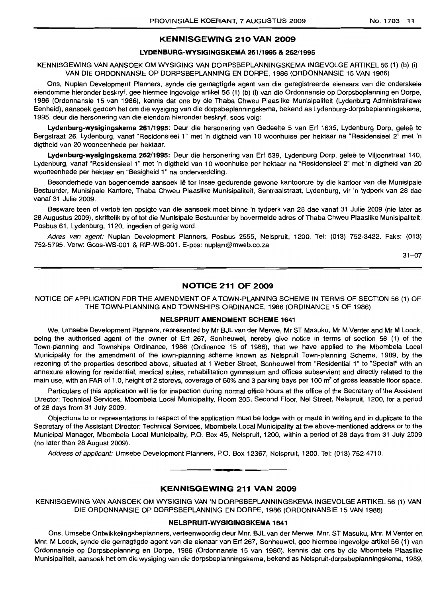### KENNISGEWING 210 VAN 2009

# LYDENBURG-WYSIGINGSKEMA 261/1995 & 262/1995

KENNISGEWING VAN AANSOEK OM WYSIGING VAN DORPSBEPLANNINGSKEMA INGEVOLGE ARTIKEL 56 (1) (b) (i) VAN DIE ORDONNANSIE OP DORPSBEPLANNING EN DORPE, 1986 (ORDONNANSIE 15 VAN 1986)

Ons, Nuplan Development Planners, synde die gemagtigde agent van die geregistreerde eienaars van die onderskeie eiendomme hieronder beskryf, gee hiermee ingevolge artikel 56 (1) (b) (i) van die Ordonnansie op Dorpsbeplanning en Dorpe, 1986 (Ordonnansie 15 van 1986), kennis dat ons by die Thaba Chweu Plaaslike Munisipaliteit (Lydenburg Administratiewe Eenheid), aansoek gedoen het om die wysiging van die dorpsbeplanningskema, bekend as Lydenburg-dorpsbeplanningskema, 1995, deur die hersonering van die eiendom hieronder beskryf, 5005 volg:

Lydenburg-wysigingskema 261/1995: Deur die hersonering van Gedeelte 5 van Erf 1635, Lydenburg Dorp, geleë te Bergstraat 26, Lydenburg, vanaf "Residensieel 1" met 'n digtheid van 10 woonhuise per hektaar na "Residensieel 2" met 'n digtheid van 20 wooneenhede per hektaar.

Lydenburg-wysigingskema 262/1995: Deur die hersonering van Erf 539, Lydenburg Dorp, geleë te Viljoenstraat 140, Lydenburg, vanaf "Residensieel 1" met 'n digtheid van 10 woonhuise per hektaar na "Residensieel 2" met 'n digtheid van 20 wooneenhede per hektaar en "Besigheid 1" na onderverdeling.

Besonderhede van bogenoemde aansoek Ie ter insae gedurende gewone kantoorure by die kantoor van die Munisipale Bestuurder, Munisipale Kantore, Thaba Chweu Plaaslike Munisipaliteit, Sentraalstraat, Lydenburg, vir 'n tydperk van 28 dae vanaf 31 Julie 2009.

Besware teen of vertoë ten opsigte van die aansoek moet binne 'n tydperk van 28 dae vanaf 31 Julie 2009 (nie later as 28 Augustus 2009), skriftelik by of tot die Munisipale Bestuurder by bovermelde adres of Thaba Chweu Plaaslike Munisipaliteit, Posbus 61, Lydenburg, 1120, ingedien of gerig word.

Adres van agent: Nuplan Development Planners, Posbus 2555, Nelspruit, 1200. Tel: (013) 752-3422. Faks: (013) 752-5795. Verw: Goos-WS-001 & RIP-WS-001. E-pos: nuplan@mweb.co.za

31-07

#### NOTICE 211 OF 2009

NOTICE OF APPLICATION FOR THE AMENDMENT OF A TOWN-PLANNING SCHEME IN TERMS OF SECTION 56 (1) OF THE TOWN-PLANNING AND TOWNSHIPS ORDINANCE, 1986 (ORDINANCE 15 OF 1986)

#### NELSPRUIT AMENDMENT SCHEME 1641

We, Umsebe Development Planners, represented by Mr BJL van der Merwe, Mr ST Masuku, Mr M Venter and Mr M Loock, being the authorised agent of the owner of Erf 267, Sonheuwel, hereby give notice in terms of section 56 (1) of the Town-planning and Townships Ordinance, 1986 (Ordinance 15 of 1986), that we have applied to the Mbombela Local Municipality for the amendment of the town-planning scheme known as Nelspruit Town-planning Scheme, 1989, by the rezoning of the properties described above, situated at 1 Weber Street, Sonheuwel from "Residential 1" to "Special" with an annexure allowing for residential, medical suites, rehabilitation gymnasium and offices subservient and directly related to the main use, with an FAR of 1.0, height of 2 storeys, coverage of 60% and 3 parking bays per 100 m<sup>2</sup> of gross leasable floor space.

Particulars of this application will lie for inspection during normal office hours at the office of the Secretary of the Assistant Director: Technical Services, Mbombela Local Municipality, Room 205, Second Floor, Nel Street, Nelspruit, 1200, for a period of 28 days from 31 July 2009.

Objections to or representations in respect of the application must be lodge with or made in writing and in duplicate to the Secretary of the Assistant Director: Technical Services, Mbombela Local Municipality at the above-mentioned address or to the Municipal Manager, Mbombela Local Municipality, P.O. Box 45, Nelspruit, 1200, within a period of 28 days from 31 July 2009 (no later than 28 August 2009).

Address of applicant: Umsebe Development Planners, P.O. Box 12367, Nelspruit, 1200. Tel: (013) 752-4710.

# KENNISGEWING 211 VAN 2009

**•**

KENNISGEWING VAN AANSOEK OM WYSIGING VAN 'N DORPSBEPLANNINGSKEMA INGEVOLGE ARTIKEL 56 (1) VAN DIE ORDONNANSIE OP DORPSBEPLANNING EN DORPE, 1986 (ORDONNANSIE 15 VAN 1986)

#### NELSPRUIT-WYSIGINGSKEMA 1641

Ons, Umsebe Ontwikkelingsbeplanners, verteenwoordig deur Mm. BJL van der Merwe, Mnr. ST Masuku, Mm. M Venter en Mm. M Loock, synde die gemagtigde agent van die eienaar van Erf 267, Sonheuwel, gee hiermee ingevolge artikel 56 (1) van Ordonnansie op Dorpsbeplanning en Dorpe, 1986 (Ordonnansie 15 van 1986), kennis dat ons by die Mbombela Plaaslike Munisipaliteit, aansoek het om die wysiging van die dorpsbeplanningskema, bekend as Nelspruit-dorpsbeplanningskema, 1989,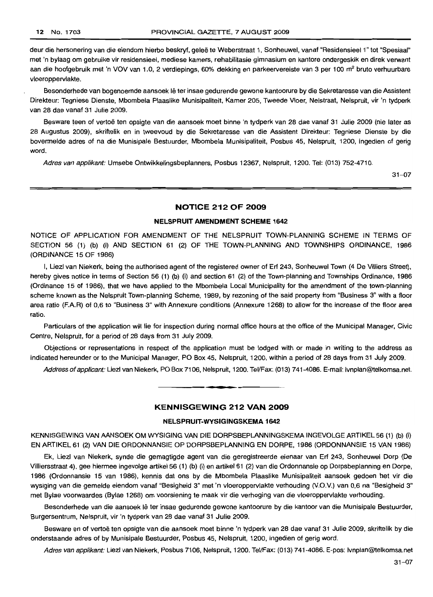deur die hersonering van die eiendom hierbo beskryf, geleë te Weberstraat 1, Sonheuwel, vanaf "Residensieel 1" tot "Spesiaal" met 'n bylaag om gebruike vir residensieel, mediese kamers, rehabilitasie gimnasium en kantore ondergeskik en direk verwant aan die hoofgebruik met 'n VOV van 1.0, 2 verdiepings, 60% dekking en parkeervereiste van 3 per 100 m<sup>2</sup> bruto verhuurbare vloeroppervlakte.

Besonderhede van bogenoemde aansoek Iê ter insae gedurende gewone kantoorure by die Sekretaresse van die Assistent Direkteur: Tegniese Dienste, Mbombela Plaaslike Munisipaliteit, Kamer 205, Tweede Vloer, Nelstraat, Nelspruit, vir 'n tydperk van 28 dae vanaf 31 Julie 2009.

Besware teen of vertoe ten opsigte van die aansoek moet binne 'n tydperk van 28 dae vanaf 31 Julie 2009 (nie later as 28 Augustus 2009), skriftelik en in tweevoud by die Sekretaresse van die Assistent Direkteur: Tegniese Dienste by die bovermelde adres of na die Munisipale Bestuurder, Mbombela Munisipaliteit, Posbus 45, Nelspruit, 1200, ingedien of gerig word.

Adres van applikant: Umsebe Ontwikkelingsbeplanners, Posbus 12367, Nelspruit, 1200. Tel: (013) 752-4710.

 $31 - 07$ 

#### **NOTICE 212 OF 2009**

#### **NELSPRUIT AMENDMENT SCHEME 1642**

NOTICE OF APPLICATION FOR AMENDMENT OF THE NELSPRUIT TOWN-PLANNING SCHEME IN TERMS OF SECTION 56 (1) (b) (i) AND SECTION 61 (2) OF THE TOWN-PLANNING AND TOWNSHIPS ORDINANCE, 1986 (ORDINANCE 15 OF 1986)

I, Liezl van Niekerk, being the authorised agent of the registered owner of Erf 243, Sonheuwel Town (4 De Villiers Street), hereby gives notice in terms of Section 56 (1) (b) (i) and section 61 (2) of the Town-planning and Townships Ordinance, 1986 (Ordinance 15 of 1986), that we have applied to the Mbombela Local Municipality for the amendment of the town-planning scheme known as the Nelspruit Town-planning Scheme, 1989, by rezoning of the said property from "Business 3" with a floor area ratio (F.A.R) of 0,6 to "Business 3" with Annexure conditions (Annexure 1268) to allow for the increase of the floor area ratio.

Particulars of the application will lie for inspection during normal office hours at the office of the Municipal Manager, Civic Centre, Nelspruit, for a period of 28 days from 31 July 2009.

Objections or representations in respect of the application must be lodged with or made in writing to the address as indicated hereunder or to the Municipal Manager, PO Box 45, Nelspruit, 1200, within a period of 28 days from 31 July 2009.

Address of applicant: Liezl van Niekerk, PO Box 7106, Nelspruit, 1200. Tel/Fax: (013) 741-4086. E-mail: Ivnplan@telkomsa.net.

#### **KENNISGEWING 212 VAN 2009**

**•**

#### **NELSPRUIT-WVSIGINGSKEMA 1642**

KENNISGEWING VAN AANSOEK OM WYSIGING VAN DIE DORPSBEPLANNINGSKEMA INGEVOLGE ARTIKEL 56 (1) (b) (i) EN ARTIKEL 61 (2) VAN DIE ORDONNANSIE OP DORPSBEPLANNING EN DORPE, 1986 (ORDONNANSIE 15 VAN 1986)

Ek, Liezl van Niekerk, synde die gemagtigde agent van die geregistreerde eienaar van Erf 243, Sonheuwel Dorp (De Villiersstraat 4), gee hiermee ingevolge artikel56 (1) (b) (i) en artikel61 (2) van die Ordonnansie op Dorpsbeplanning en Dorpe, 1986 (Ordonnansie 15 van 1986), kennis dat ons by die Mbombela Plaaslike Munisipaliteit aansoek gedoen het vir die wysiging van die gemelde eiendom vanaf "Besigheid 3" met 'n vloeroppervlakte verhouding (V.O.Y.) van 0,6 na "Besigheid 3" met Bylae voorwaardes (Bylae 1268) om voorsiening te maak vir die verhoging van die vloeroppervlakte verhouding.

Besonderhede van die aansoek lê ter insae gedurende gewone kantoorure by die kantoor van die Munisipale Bestuurder, Burgersentrum, Nelspruit, vir 'n tydperk van 28 dae vanaf 31 Julie 2009.

Besware en of vertoe ten opsigte van die aansoek moet binne 'n tydperk van 28 dae vanaf 31 Julie 2009, skriftelik by die onderstaande adres of by Munisipale Bestuurder, Posbus 45, Nelspruit, 1200, ingedien of gerig word.

Adres van applikant: Liezl van Niekerk, Posbus 7106, Nelspruit, 1200. Tel/Fax: (013) 741-4086. E-pos: Ivnplan@telkomsa.net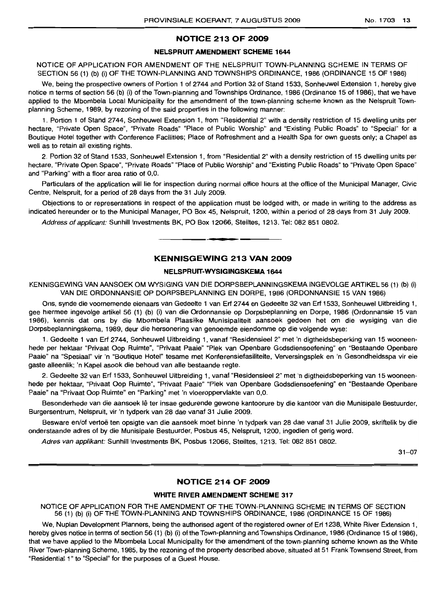# **NOTICE 213 OF 2009**

# **NELSPRUIT AMENDMENT SCHEME 1644**

NOTICE OF APPLICATION FOR AMENDMENT OF THE NELSPRUIT TOWN-PLANNING SCHEME IN TERMS OF SECTION 56 (1) (b) (i) OF THE TOWN-PLANNING AND TOWNSHIPS ORDINANCE, 1986 (ORDINANCE 15 OF 1986)

We, being the prospective owners of Portion 1 of 2744 and Portion 32 of Stand 1533, Sonheuwel Extension 1, hereby give notice in terms of section 56 (b) (i) of the Town-planning and Townships Ordinance, 1986 (Ordinance 15 of 1986), that we have applied to the Mbombela Local Municipality for the amendment of the town-planning scheme known as the Nelspruit Townplanning Scheme, 1989, by rezoning of the said properties in the following manner:

1. Portion 1 of Stand 2744, Sonheuwel Extension 1, from "Residential 2" with a density restriction of 15 dwelling units per hectare, "Private Open Space", "Private Roads" "Place of Public Worship" and "Existing Public Roads" to "Special" for a Boutique Hotel together with Conference Facilities; Place of Refreshment and a Health Spa for own guests only; a Chapel as well as to retain all existing rights.

2. Portion 32 of Stand 1533, Sonheuwel Extension 1, from "Residential 2" with a density restriction of 15 dwelling units per hectare, "Private Open Space", "Private Roads" "Place of Public Worship" and "Existing Public Roads" to "Private Open Space" and "Parking" with a floor area ratio of 0,0.

Particulars of the application will lie for inspection during normal office hours at the office of the Municipal Manager, Civic Centre, Nelspruit, for a period of 28 days from the 31 July 2009.

Objections to or representations in respect of the application must be lodged with, or made in writing to the address as indicated hereunder or to the Municipal Manager, PO Box 45, Nelspruit, 1200, within a period of 28 days from 31 july 2009.

Address of applicant: Sunhill Investments BK, PO Box 12066, Steiltes, 1213. Tel: 082 851 0802.

### **KENNISGEWING 213 VAN 2009**

**.-**

#### **NELSPRUIT-WYSIGINGSKEMA 1644**

KENNISGEWING VAN AANSOEK OM WYSIGING VAN DIE DORPSBEPLANNINGSKEMA INGEVOLGE ARTIKEL 56 (1) (b) (i) VAN DIE ORDONNANSIE OP DORPSBEPLANNING EN DORPE, 1986 (ORDONNANSIE 15 VAN 1986)

Ons, synde die voornemende eienaars van Gedeelte 1 van Erf 2744 en Gedeelte 32 van Erf 1533, Sonheuwel Uitbreiding 1, gee hiermee ingevolge artikel 56 (1) (b) (i) van die Ordonnansie op Dorpsbeplanning en Dorpe, 1986 (Ordonnansie 15 van 1986), kennis dat ons by die Mbombela Plaaslike Munisipaliteit aansoek gedoen het om die wysiging van die Dorpsbeplanningskema, 1989, deur die hersonering van genoemde eiendomme op die volgende wyse:

1. Gedeelte 1 van Erf 2744, Sonheuwel Uitbreiding 1, vanaf "Residensieel 2" met 'n digtheidsbeperking van 15 wooneenhede per hektaar "Privaat Oop Ruimte", "Privaat Paaie" "Plek van Openbare Godsdiensoefening" en "Bestaande Openbare Paaie" na "Spesiaal" vir 'n "Boutique Hotel" tesame met Konferensiefasiliteite, Verversingsplek en 'n Gesondheidsspa vir eie gaste alleenlik; 'n Kapel asook die behoud van aile bestaande regte.

2. Gedeelte 32 van Erf 1533, Sonheuwel Uitbreiding 1, vanaf "Residensieel 2" met 'n digtheidsbeperking van 15 wooneenhede per hektaar, "Privaat Oop Ruimte", "Privaat Paaie" "Plek van Openbare Godsdiensoefening" en "Bestaande Openbare Paaie" na "Privaat Oop Ruimte" en "Parking" met 'n vloeroppervlakte van 0,0.

Besonderhede van die aansoek lê ter insae gedurende gewone kantoorure by die kantoor van die Munisipale Bestuurder, Burgersentrum, Nelspruit, vir 'n tydperk van 28 dae vanaf 31 Julie 2009.

Besware en/of vertos ten opsigte van die aansoek moet binne 'n tydperk van 28 dae vanaf 31 Julie 2009, skriftelik by die onderstaande adres of by die Munisipale Bestuurder, Posbus 45, Nelspruit, 1200, ingedien of gerig word.

Adres van applikant: Sunhill Investments BK, Posbus 12066, Steiltes, 1213. Tel: 082 851 0802.

31-07

#### **NOTICE 214 OF 2009**

#### **WHITE RIVER AMENDMENT SCHEME 317**

NOTICE OF APPLICATION FOR THE AMENDMENT OF THE TOWN-PLANNING SCHEME IN TERMS OF SECTION 56 (1) (b) (i) OF THE TOWN-PLANNING AND TOWNSHIPS ORDINANCE, 1986 (ORDINANCE 15 OF 1986)

We, Nuplan Development Planners, being the authorised agent of the registered owner of Erf 1238, White River Extension 1, hereby gives notice in terms of section 56 (1) (b) (i) of the Town-planning and Townships Ordinance, 1986 (Ordinance 15 of 1986), that we have applied to the Mbombela Local Municipality for the amendment of the town-planning scheme known as the White River Town-planning Scheme, 1985, by the rezoning of the property described above, situated at 51 Frank Townsend Street, from "Residential 1" to "Special" for the purposes of a Guest House.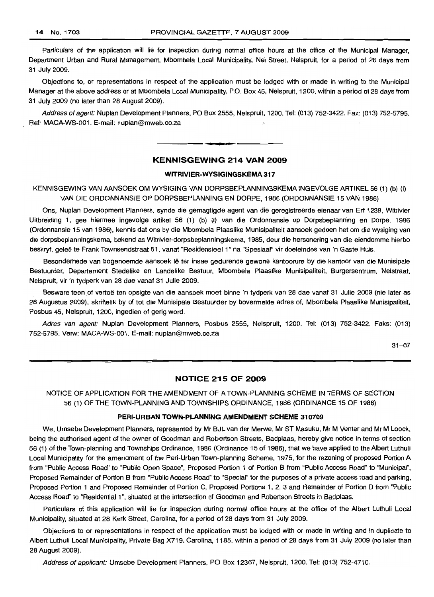Particulars of the application will lie for inspection during normal office hours at the office of the Municipal Manager, Department Urban and Rural Management, Mbombela Local Municipality, Nel Street, Nelspruit, for a period of 28 days from 31 JUly 2009.

Objections to, or representations in respect of the application must be lodged with or made in writing to the Municipal Manager at the above address or at Mbombela Local Municipality, P.O. Box 45, Nelspruit, 1200, within a period of 28 days from 31 July 2009 (no later than 28 August 2009).

Address of agent: Nuplan Development Planners, PO Box 2555, Nelspruit, 1200. Tel: (013) 752-3422. Fax: (013) 752-5795. Ref: MACA-WS-001. E-mail: nuplan@mweb.co.za

# **KENNISGEWING 214 VAN 2009**

**•**

#### **WITRIVIER-WYSIGINGSKEMA 317**

KENNISGEWING VAN AANSOEK OM WYSIGING VAN DORPSBEPLANNINGSKEMA INGEVOLGE ARTIKEL 56 (1) (b) (i) VAN DIE ORDONNANSIE OP DORPSBEPLANNING EN DORPE, 1986 (ORDONNANSIE 15 VAN 1986)

Ons, Nuplan Development Planners, synde die gemagtigde agent van die geregistreerde eienaar van Erf 1238, Witrivier Uitbreiding 1, gee hiermee ingevolge artikel 56 (1) (b) (i) van die Ordonnansie op Dorpsbeplanning en Dorpe, 1986 (Ordonnansie 15 van 1986), kennis dat ons by die Mbombela Plaaslike Munisipaliteit aansoek gedoen het om die wysiging van die dorpsbeplanningskema, bekend as Witrivier-dorpsbeplanningskema, 1985, deur die hersonering van die eiendomme hierbo beskryf, gelee te Frank Townsendstraat 51, vanaf "Residensieel 1" na "Spesiaal" vir doeleindes van 'n Gaste Huis.

Besonderhede van bogenoemde aansoek lê ter insae gedurende gewone kantoorure by die kantoor van die Munisipale Bestuurder, Departement Stedelike en Landelike Bestuur, Mbombela Plaaslike Munisipaliteit, Burgersentrum, Nelstraat, Nelspruit, vir 'n tydperk van 28 dae vanaf 31 Julie 2009.

Besware teen of vertoe ten opsigte van die aansoek moet binne 'n tydperk van 28 dae vanaf 31 Julie 2009 (nie later as 28 Augustus 2009), skriftelik by of tot die Munisipale Bestuurder by bovermelde adres of, Mbombela Plaaslike Munisipaliteit, Posbus 45, Nelspruit, 1200, ingedien of gerig word.

Adres van agent: Nuplan Development Planners, Posbus 2555, Nelspruit, 1200. Tel: (013) 752-3422. Faks: (013) 752-5795. Verw: MACA-WS-001. E-mail: nuplan@mweb.co.za

31-07

# **NOTICE 215 OF 2009**

NOTICE OF APPLICATION FOR THE AMENDMENT OF A TOWN-PLANNING SCHEME IN TERMS OF SECTION 56 (1) OF THE TOWN-PLANNING AND TOWNSHIPS ORDINANCE, 1986 (ORDINANCE 15 OF 1986)

#### **PERI-URBAN TOWN-PLANNING AMENDMENT SCHEME 310709**

We, Umsebe Development Planners, represented by Mr BJL van der Merwe, Mr ST Masuku, Mr M Venter and Mr M Loock, being the authorised agent of the owner of Goodman and Robertson Streets, Badplaas, hereby give notice in terms of section 56 (1) of the Town-planning and Townships Ordinance, 1986 (Ordinance 15 of 1986), that we have applied to the Albert Luthuli Local Municipality for the amendment of the Peri-Urban Town-planning Scheme, 1975, for the rezoning of proposed Portion A from "Public Access Road" to "Public Open Space", Proposed Portion 1 of Portion B from "Public Access Road" to "Municipal", Proposed Remainder of Portion B from "Public Access Road" to "Special" for the purposes of a private access road and parking, Proposed Portion 1 and Proposed Remainder of Portion C, Proposed Portions 1, 2, 3 and Remainder of Portion D from "Public Access Road" to "Residential 1", situated at the intersection of Goodman and Robertson Streets in Badplaas.

Particulars of this application will lie for inspection during normal office hours at the office of the Albert Luthuli Local Municipality, situated at 28 Kerk Street, Carolina, for a period of 28 days from 31 July 2009.

Objections to or representations in respect of the application must be lodged with or made in writing and in duplicate to Albert Luthuli Local Municipality, Private Bag X719, Carolina, 1185, within a period of 28 days from 31 July 2009 (no later than 28 August 2009).

Address of applicant: Umsebe Development Planners, PO Box 12367, Nelspruit, 1200. Tel: (013) 752-4710.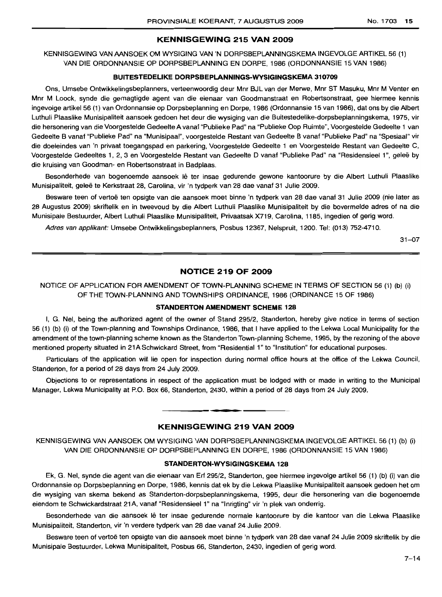# **KENNISGEWING 215 VAN 2009**

KENNISGEWING VAN AANSOEK OM WYSIGING VAN 'N DORPSBEPLANNINGSKEMA INGEVOLGE ARTIKEL 56 (1) VAN DIE ORDONNANSIE OP DORPSBEPLANNING EN DORPE, 1986 (ORDONNANSIE 15 VAN 1986)

# **BUITESTEDELIKE DORPSBEPLANNINGS-WYSIGINGSKEMA 310709**

Ons, Umsebe Ontwikkelingsbeplanners, verteenwoordig deur Mnr BJL van der Merwe, Mnr ST Masuku, Mnr M Venter en Mnr M Loock, synde die gemagtigde agent van die eienaar van Goodmanstraat en Robertsonstraat, gee hiermee kennis ingevolge artikel 56 (1) van Ordonnansie op Dorpsbeplanning en Dorpe, 1986 (Ordonnansie 15 van 1986), dat ons by die Albert Luthuli Plaaslike Munisipaliteit aansoek gedoen het deur die wysiging van die Buitestedelike-dorpsbeplanningskema, 1975, vir die hersonering van die Voorgestelde Gedeelte A vanaf "Publieke Pad" na "Publieke Oop Ruimte", Voorgestelde Gedeelte 1 van Gedeelte B vanaf "Publieke Pad" na "Munisipaal", voorgestelde Restant van Gedeelte B vanaf "Publieke Pad" na "Spesiaat" vir die doeleindes van 'n privaat toegangspad en parkering, Voorgestelde Gedeelte 1 en Voorgestelde Restant van Gedeelte C, Voorgestelde Gedeeltes 1, 2, 3 en Voorgestelde Restant van Gedeelte D vanaf "Publieke Pad" na "Residensieel 1'', gelee by die kruising van Goodman- en Robertsonstraat in Badplaas.

Besonderhede van bogenoemde aansoek Iê ter insae gedurende gewone kantoorure by die Albert Luthuli Plaaslike Munisipaliteit, gelee te Kerkstraat 28, Carolina, vir 'n tydperk van 28 dae vanaf 31 Julie 2009.

Besware teen of vertoe ten opsigte van die aansoek moet binne 'n tydperk van 28 dae vanaf 31 Julie 2009 (nie later as 28 Augustus 2009) skriftelik en in tweevoud by die Albert Luthuli Plaaslike Munisipaliteit by die bovermelde adres of na die Munisipale Bestuurder, Albert Luthuli Plaaslike Munisipaliteit, Privaatsak X719, Carolina, 1185, ingedien of gerig word.

Adres van applikant: Umsebe Ontwikkelingsbeplanners, Posbus 12367, Nelspruit, 1200. Tel: (013) 752-4710.

31-07

### **NOTICE 219 OF 2009**

NOTICE OF APPLICATION FOR AMENDMENT OF TOWN-PLANNING SCHEME IN TERMS OF SECTION 56 (1) (b) (i) OF THE TOWN-PLANNING AND TOWNSHIPS ORDINANCE, 1986 (ORDINANCE 15 OF 1986)

# **STANDERTON AMENDMENT SCHEME 128**

I, G. Nel, being the authorized agent of the owner of Stand 295/2, Standerton, hereby give notice in terms of section 56 (1) (b) (i) of the Town-planning and Townships Ordinance, 1986, that I have applied to the Lekwa Local Municipality for the amendment of the town-planning scheme known as the Standerton Town-planning Scheme, 1995, by the rezoning of the above mentioned property situated in 21A Schwickard Street, from "Residential 1" to "Institution" for educational purposes.

Particulars of the application will lie open for inspection during normal office hours at the office of the Lekwa Council, Standerton, for a period of 28 days from 24 July 2009.

Objections to or representations in respect of the application must be lodged with or made in writing to the Municipal Manager, Lekwa Municipality at P.O. Box 66, Standerton, 2430, within a period of 28 days from 24 July 2009.

# **• KENNISGEWING 219 VAN 2009**

KENNISGEWING VAN AANSOEK OM WYSIGING VAN DORPSBEPLANNINGSKEMA INGEVOLGE ARTIKEL 56 (1) (b) (i) VAN DIE ORDONNANSIE OP DORPSBEPLANNING EN DORPE, 1986 (ORDONNANSIE 15 VAN 1986)

#### **STANDERTON-WYSIGINGSKEMA 128**

Ek, G. Nel, synde die agent van die eienaar van Erf 295/2, Standerton, gee hiermee ingevolge artikel 56 (1) (b) (i) van die Ordonnansie op Dorpsbeplanning en Dorpe, 1986, kennis dat ek by die Lekwa Plaaslike Munisipaliteit aansoek gedoen het om die wysiging van skema bekend as Standerton-dorpsbeplanningskema, 1995, deur die hersonering van die bogenoemde eiendom te Schwickardstraat 21A, vanaf "Residensieel 1" na "Inrigting" vir 'n plek van onderrig.

Besonderhede van die aansoek lê ter insae gedurende normale kantoorure by die kantoor van die Lekwa Plaaslike Munisipaliteit, Standerton, vir 'n verdere tydperk van 28 dae vanaf 24 Julie 2009.

Besware teen of vertoë ten opsigte van die aansoek moet binne 'n tydperk van 28 dae vanaf 24 Julie 2009 skriftelik by die Munisipale Bestuurder, Lekwa Munisipaliteit, Posbus 66, Standerton, 2430, ingedien of gerig word.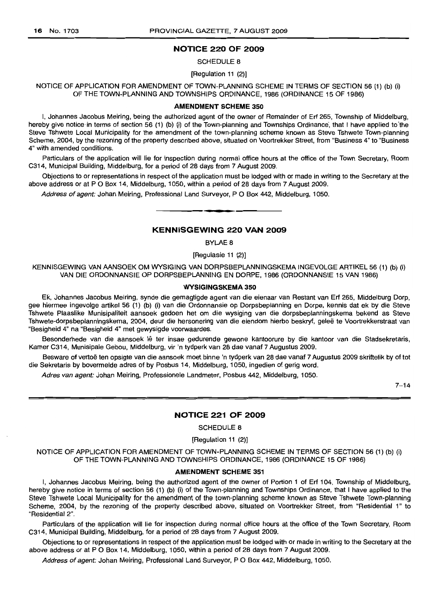# **NOTICE 220 OF 2009**

#### SCHEDULE 8

#### [Regulation **11** (2)]

NOTICE OF APPLICATION FOR AMENDMENT OF TOWN-PLANNING SCHEME IN TERMS OF SECTION 56 (1) (b) (i) OF THE TOWN-PLANNING AND TOWNSHIPS ORDINANCE, 1986 (ORDINANCE 15 OF 1986)

#### **AMENDMENT SCHEME 350**

I, Johannes Jacobus Meiring, being the authorized agent of the owner of Remainder of Erf 265, Township of Middelburg, hereby give notice in terms of section 56 (1) (b) (i) of the Town-planning and Townships Ordinance, that I have applied to the Steve Tshwete Local Municipality for the amendment of the town-planning scheme known as Steve Tshwete Town-planning Scheme, 2004, by the rezoning of the property described above, situated on Voortrekker Street, from "Business 4" to "Business 4" with amended conditions.

Particulars of the application will lie for inspection during normal office hours at the office of the Town Secretary, Room C314, Municipal Building, Middelburg, for a period of 28 days from 7 August 2009.

Objections to or representations in respect of the application must be lodged with or made in writing to the Secretary at the above address or at P O Box 14, Middelburg, 1050, within a period of 28 days from 7 August 2009.

Address of agent: Johan Meiring, Professional Land Surveyor, P O Box 442, Middelburg, 1050.

# **KENNISGEWING 220 VAN 2009**

**•**

BYLAE 8

[Regulasie 11 (2)]

KENNISGEWING VAN AANSOEK OM WYSIGING VAN DORPSBEPLANNINGSKEMA INGEVOLGE ARTIKEL 56 (1) (b) (i) VAN DIE ORDONNANSIE OP DORPSBEPLANNING EN DORPE, 1986 (ORDONNANSIE 15 VAN 1986)

#### **WYSIGINGSKEMA 350**

Ek, Johannes Jacobus Meiring, synde die gemagtigde agent van die eienaar van Restant van Erf 265, Middelburg Dorp, gee hiermee ingevolge artikel 56 (1) (b) (i) van die Ordonnansie op Dorpsbeplanning en Dorpe, kennis dat ek by die Steve Tshwete Plaaslike Munisipaliteit aansoek gedoen het om die wysiging van die dorpsbeplanningskema bekend as Steve Tshwete-dorpsbeplanningskema, 2004, deur die hersonering van die eiendom hierbo beskryf, gelee te Voortrekkerstraat van "Besigheid 4" na "Besigheid 4" met gewysigde voorwaardes.

Besonderhede van die aansoek lê ter insae gedurende gewone kantoorure by die kantoor van die Stadsekretaris, Kamer C314, Munisipale Gebou, Middelburg, vir 'n tydperk van 28 dae vanaf 7 Augustus 2009.

Besware of vertoë ten opsigte van die aansoek moet binne 'n tydperk van 28 dae vanaf 7 Augustus 2009 skriftelik by of tot die Sekretaris by bovermelde adres of by Posbus 14, Middelburg, 1050, ingedien of gerig word.

Adres van agent: Johan Meiring, Professionele Landmeter, Posbus 442, Middelburg, 1050.

 $7 - 14$ 

#### **NOTICE 221 OF 2009**

SCHEDULE 8

[Regulation 11 (2)]

NOTICE OF APPLICATION FOR AMENDMENT OF TOWN-PLANNING SCHEME IN TERMS OF SECTION 56 (1) (b) (i) OF THE TOWN-PLANNING AND TOWNSHIPS ORDINANCE, 1986 (ORDINANCE 15 OF 1986)

#### **AMENDMENT SCHEME 351**

I, Johannes Jacobus Meiring, being the authorized agent of the owner of Portion 1 of Erf 104, Township of Middelburg, hereby give notice in terms of section 56 (1) (b) (i) of the Town-planning and Townships Ordinance, that I have applied to the Steve Tshwete Local Municipality for the amendment of the town-planning scheme known as Steve Tshwete Town-planning Scheme, 2004, by the rezoning of the property described above, situated on Voortrekker Street, from "Residential 1" to "Residential 2",

Particulars of the application will lie for inspection during normal office hours at the office of the Town Secretary, Room C314, Municipal Building, Middelburg, for a period of 28 days from 7 August 2009.

Objections to or representations in respect of the application must be lodged with or made in writing to the Secretary at the above address or at P O Box 14, Middelburg, 1050, within a period of 28 days from 7 August 2009.

Address of agent: Johan Meiring, Professional Land Surveyor, P O Box 442, Middelburg, 1050.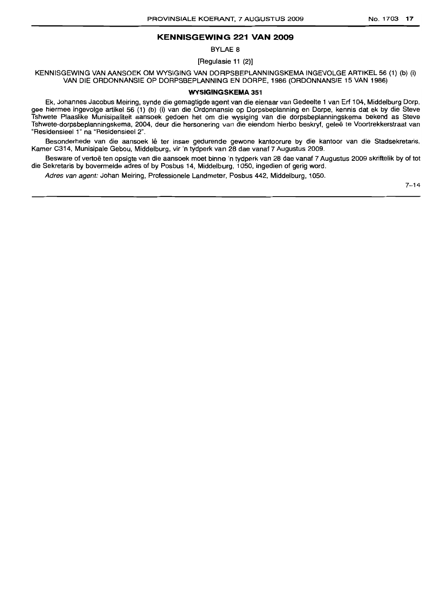# **KENNISGEWING 221 VAN 2009**

BYLAE 8

[Regulasie 11 (2)]

KENNISGEWING VAN AANSOEK OM WYSIGING VAN DORPSBEPLANNINGSKEMA INGEVOLGE ARTIKEL 56 (1) (b) (i) VAN DIE ORDONNANSIE OP DORPSBEPLANNING EN DORPE, 1986 (ORDONNANSIE 15 VAN 1986)

#### **WYSIGINGSKEMA 351**

Ek, Johannes Jacobus Meiring, synde die gemagtigde agent van die eienaar van Gedeelte 1 van Erf 104, Middelburg Dorp, gee hiermee ingevolge artikel 56 (1) (b) (i) van die Ordonnansie op Dorpsbeplanning en Dorpe, kennis dat ek by die Steve Tshwete Plaaslike Munisipaliteit aansoek gedoen het om die wysiging van die dorpsbeplanningskema bekend as Steve Tshwete-dorpsbeplanningskema, 2004, deur die hersonering van die eiendom hierbo beskryf, gelee te Voortrekkerstraat van "ResidensieeI1" na "Residensieel 2".

Besonderhede van die aansoek lê ter insae gedurende gewone kantoorure by die kantoor van die Stadsekretaris, Kamer C314, Munisipale Gebou, Middelburg, vir 'n tydperk van 28 dae vanaf 7 Augustus 2009.

Besware of vertoë ten opsigte van die aansoek moet binne 'n tydperk van 28 dae vanaf 7 Augustus 2009 skriftelik by of tot die Sekretaris by bovermelde adres of by Posbus 14, Middelburg, 1050, ingedien of gerig word.

Adres van agent: Johan Meiring, Professionele Landmeter, Posbus 442, Middelburg, 1050.

7-14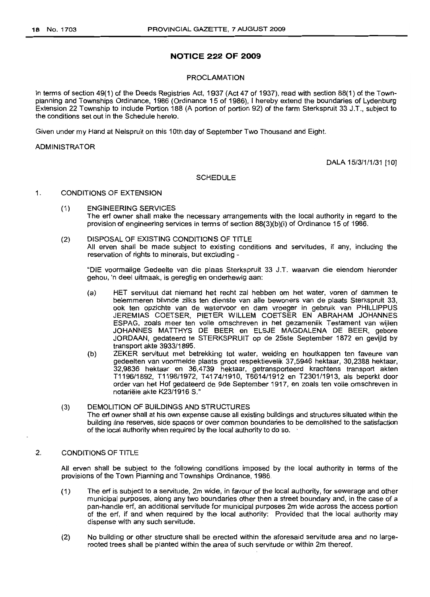# **NOTICE 222 OF 2009**

#### PROCLAMATION

In terms of section 49(1) of the Deeds Registries Act, 1937 (Act 47 of 1937), read with section 88(1) of the Townplanning and Townships Ordinance, 1986 (Ordinance 15 of 1986), I hereby extend the boundaries of Lydenburg Extension 22 Township to include Portion 188 (A portion of portion 92) of the farm Sterkspruit 33 J.T., subject to the conditions set out in the Schedule hereto.

Given under my Hand at Nelspruit on this 10th day of September Two Thousand and Eight.

#### ADMINISTRATOR

DALA 15/3/1/1/31 [10]

#### SCHEDULE

#### 1. CONDITIONS OF EXTENSION

- (1) ENGINEERING SERVICES The erf owner shall make the necessary arrangements with the local authority in regard to the provision of engineering services in terms of section 88(3)(b)(i) of Ordinance 15 of 1986.
- (2) DISPOSAL OF EXISTING CONDITIONS OF TITLE All erven shall be made subject to existing conditions and servitudes, if any, including the reservation of rights to minerals, but excluding -

"DIE voormalige Gedeelte van die plaas Sterkspruit 33 J.T. waarvan die eiendom hieronder gehou, 'n deel uitmaak, is geregtig en onderhewig aan:

- (a) HET servituut dat niemand het recht zal hebben om het water, voren of dammen te belemmeren blivnde zilks ten dienste van aile bewoners van de plaats Sterkspruit 33, ook ten opzichte van de watervoor en dam vroeger in gebruik van PHllLiPPUS JEREMIAS COETSER, PIETER WILLEM COETSER EN ABRAHAM JOHANNES ESPAG, zoals meer ten volle omschreven in het gezamenlik Testament *van* wijlen JOHANNES MATTHYS DE BEER en ELSJE MAGDALENA DE BEER, gebore JORDAAN, gedateerd te STERKSPRUIT op de 25ste September 1872 en gevijld by transport akte 3933/1895.
- (b) ZEKER servituut met betrekking tot water, weiding en houtkappen ten faveure van gedeelten *van* voormelde plaats groot respektievelik 37,5946 hektaar, 30,2388 hektaar, 32,9836 hektaar en 36,4739 hektaar, getransporteerd krachtens transport akten T1196/1892, T1198/1972, T4174/1910, T8614/1912 en T2301/1913, als beperkt door order van het Hof gedateerd de 9de September 1917, en zoals ten volle omschreven in notariele akte K23/1916 5."
- (3) DEMOLITION OF BUILDINGS AND STRUCTURES The erf owner shall at his own expense cause all existing buildings and structures situated within the building line reserves, side spaces or over common boundaries to be demolished to the satisfaction of the local authority when required by the local authority to do so.

# 2. CONDITIONS OF TITLE

All *erven* shall be subject to the following conditions imposed by the local authority in terms of the provisions of the Town Planning and Townships Ordinance, 1986.

- (1) The erf is subject to a servitude, 2m wide, in favour of the local authority, for sewerage and other municipal purposes, along any two boundaries other then a street boundary and, in the case of a pan-handle erf, an additional servitude for municipal purposes 2m wide across the access portion of the erf, if and when required by the local authority: Provided that the local authority may dispense with any such servitude.
- (2) No building or other structure shall be erected within the aforesaid servitude area and no largerooted trees shall be planted within the area of such servitude or within 2m thereof.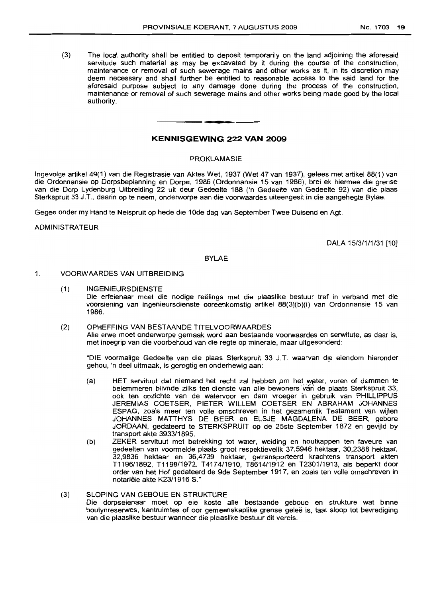(3) The local authority shall be entitled to deposit temporarily on the land adjoining the aforesaid servitude such material as may be excavated by it during the course of the construction, maintenance or removal of such sewerage mains and other works as it, in its discretion may deem necessary and shall further be entitled to reasonable access to the said land for the aforesaid purpose subject to any damage done during the process of the construction, maintenance or removal of such sewerage mains and other works being made good by the local authority.

# **KENNISGEWING 222 VAN 2009**

**•**

#### PROKLAMASIE

Ingevolge artikel 49(1) van die Registrasie van Aktes Wet, 1937 (Wet 47 van 1937), gelees met artikel 88(1) van die Ordonnansie op Dorpsbeplanning en Dorpe, 1986 (Ordonnansie 15 van 1986), brei ek hiermee die grense van die Dorp Lydenburg Uitbreiding 22 uit deur Gedeelte 188 ('n Gedeelte van Gedeelte 92) van die plaas Sterkspruit 33 J.T., daarin op te neem, onderworpe aan die voorwaardes uiteengesit in die aangehegte Bylae.

Gegee onder my Hand te Nelspruit op hede die 1Ode dag van September Twee Duisend en Agt.

#### ADMINISTRATEUR

DALA 15/3/1/1/31 [10]

#### BYLAE

#### 1. VOORWAARDES VAN UITBRE1DING

- (1) INGENIEURSDIENSTE Die erfeienaar moet die nodige reelings met die plaaslike bestuur tref in verband met die voorsiening van ingenieursdienste ooreenkomstig artikel 88(3)(b)(i) van Ordonnansie 15 van 1986.
- (2) OPHEFFING VAN BESTAANDE TITELVOORWAARDES Aile erwe moet onderworpe gemaak word aan bestaande voorwaardes en serwitute, as daar is, met inbegrip van die voorbehoud van die regte op minerale, maar uitgesonderd:

"DIE voormalige Gedeelte van die plaas Sterkspruit 33 J.T. waarvan die eiendom hieronder gehou, 'n deel uitmaak, is geregtig en onderhewig aan: .

- (a) HET servituut dat niemand het recht zal hebben om het water, voren of dammen te belemmeren blivnde zilks ten dienste van alle bewoners van de plaats Sterkspruit 33, ook ten opzichte van de watervoor en dam vroeger in gebruik van PHILLIPPUS .IEREMIAS COETSER, PIETER WILLEM COETSER EN ABRAHAM JOHANNES ESPAG, zoals meer ten volle omschreven in het gezamenlik Testament van wijlen JOHANNES MATTHYS DE BEER en ELSJE MAGDALENA DE BEER, gebore JORDAAN, gedateerd te STERKSPRUIT op de 25ste September 1872 en gevijld by transport akte 3933/1895.
- (b) ZEKER servituut met betrekking tot water, weiding en houtkappen ten faveure van gedeelten van voormelde plaats groat respektievelik 37,5946 hektaar, 30,2388 hektaar, 32,9836 hektaar en 36,4739 hektaar, getransporteerd krachtens transport akten T1196/1892, T1198/1972, T4174/1910, T8614/1912 en T2301/1913, als beperkt door order van het Hof gedateerd de 9de September 1917, en zoals ten volle omschreven in notariele akte K23/1916 S."

#### (3) SLOPING VAN GEBOUE EN STRUKTURE Die dorpseienaar moet op eie koste aile bestaande geboue en strukture wat binne boulynreserwes, kantruimtes of oor gemeenskaplike grense geleë is, laat sloop tot bevrediging van die plaaslike bestuur wanneer die plaaslike bestuur dit vereis.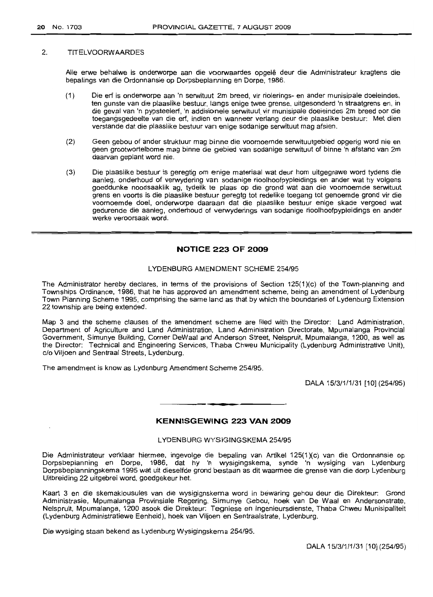#### 2. TITELVOORWAARDES

Alle erwe behalwe is onderworpe aan die voorwaardes opgelê deur die Administrateur kragtens die bepalings van die Ordonnansie op Dorpsbeplanning en Dorpe, 1986.

- (1) Die erf is onderworpe aan 'n serwituut 2m breed, vir riolerings- en ander munisipale doeleindes, ten gunste van die plaaslike bestuur, langs enige twee grense, uitgesonderd 'n straatgrens en, in die geval van 'n pypsteelerf, 'n addisionele serwituut vir munisipale doeleindes 2m breed oor die toeqanqspedeelte van die erf, indien en wanneer verlang deur die plaaslike bestuur: Met dien verstande dat die plaaslike bestuur van enige sodanige serwituut mag afsien.
- (2) Geen gebou of ander struktuur mag binne die voornoemde serwituutgebied opgerig word nie en geen grootwortelbome mag binne die gebied van sodanige serwituut of binne 'n afstand van 2m daarvan geplant word nie.
- (3) Die plaaslike bestuur is geregtig am enige materiaal wat deur hom uitgegrawe word tydens die aanleg, onderhoud of verwydering van sodanige rioolhoofpypleidings en ander wat hy volgens goeddunke noodsaaklik ag, tydelik te plaas op die grand wat aan die voornoemde serwituut grens en voorts is die plaaslike bestuur geregtg tot redelike toegang tot genoemde grond vir die voornoemde doel, onderworpe daaraan dat die plaaslike bestuur enige skade vergoed wat gedurende die aanleg, onderhoud of verwyderings van sodanige rioolhoofpypleidings en ander werke veroorsaak word.

# **NOTICE 223 OF 2009**

#### LYDENBURG AMENDMENT SCHEME 254/95

The Administrator hereby declares, in terms of the provisions of Section 125(1)(c) of the Town-planning and Townships Ordinance, 1986, that he has approved an amendment scheme, being an amendment of Lydenburg Town Planning Scheme 1995, comprising the same land as that by which the boundaries of Lydenburg Extension 22 township are being extended.

Map 3 and the scheme clauses of the amendment scheme are filed with the Director: Land Administration, Department of Agriculture and Land Administration, Land Administration Directorate, Mpumalanga Provincial Government, Simunye Building, Corner DeWaal and Anderson Street, Nelspruit, Mpumalanga, 1200, as well as the Director: Technical and Engineering Services, Thaba Chweu Municipality (Lydenburg Administrative Unit), c/o Viljoen and Sentraal Streets, Lydenburg.

The amendment is know as Lydenburg Amendment Scheme 254/95.

DALA 15/3/1/1/31 [10] (254/95)

# **KENNISGEWING 223 VAN 2009**

#### LYDENBURG WYSIGINGSKEMA 254/95

Die Administrateur verklaar hiermee, ingevolge die bepaling van Artikel 125(1)(c) van die Ordonnansie op Dorpsbeplanning en Dorpe, 1986, dat hy 'n wysigingskema, synde 'n wysiging van Lydenburg Dorpsbeplanningskema 1995 wat uit dieselfde grond bestaan as dit waarmee die grense van die dorp Lydenburg Uitbreiding 22 uitgebrei word, goedgekeur het.

Kaart 3 en die skemaklousules van die wysigignskema word in bewaring gehou deur die Direkteur: Grond Administrasie, Mpumalanga Pravinsiale Regering, Simunye Gebou, hoek van De Waal en Andersonstrate, Nelspruit, Mpumalanga, 1200 asook die Direkteur: Tegniese en Ingenieursdienste, Thaba Chweu Munisipaliteit (Lydenburg Administratiewe Eenheid), hoek van Viljoen en Sentraalstrate, Lydenburg.

Die wysiging staan bekend as Lydenburg Wysigingskema 254/95.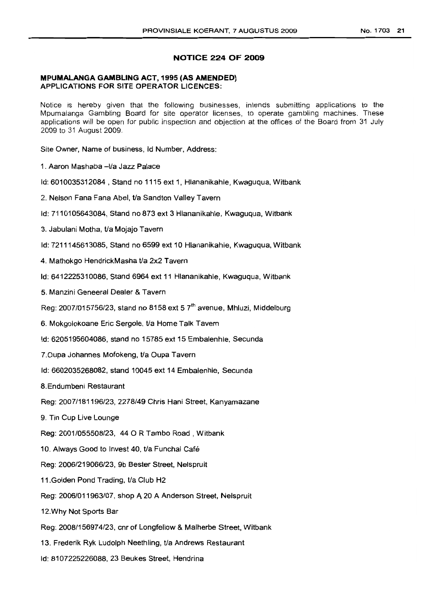# **NOTICE 224 OF 2009**

# **MPUMALANGA GAMBLING ACT, 1995 (AS AMENDED) APPLICATIONS FOR SITE OPERATOR LICENCES:**

Notice is hereby given that the following businesses, intends submitting applications to the Mpumalanga Gambling Board for site operator licenses, to operate gambling machines. These applications will be open for public inspection and objection at the offices of the Board from 31 July 2009 to 31 August 2009.

Site Owner, Name of business, Id Number, Address:

- 1. Aaron Mashaba -t/a Jazz Palace
- Id: 6010035312084 , Stand no 1115 ext 1, Hlananikahle, Kwaguqua, Witbank
- 2. Nelson Fana Fana Abel, t/a Sandton Valley Tavern
- Id: 7110105643084, Stand no 873 ext 3 Hlananikahle, Kwaguqua, Witbank
- 3. Jabulani Motha, t/a Mojajo Tavern
- Id: 7211145613085, Stand no 6599 ext 10 Hlananikahle, Kwaguqua, Witbank
- 4. Mathokgo HendrickMasha t/a 2x2 Tavern
- Id: 6412225310086, Stand 6964 ext 11 Hlananikahle, Kwaguqua, Witbank
- 5. Manzini Geneeral Dealer & Tavern
- Reg: 2007/015756/23, stand no 8158 ext 5  $7<sup>th</sup>$  avenue, Mhluzi, Middelburg
- 6. Mokgolokoane Eric Sergole, t/a Home Talk Tavern
- Id: 6205195604086, stand no 15785 ext 15 Embalenhle, Secunda
- 7. Oupa Johannes Mofokeng, t/a Oupa Tavern
- Id: 6602035268082, stand 10045 ext 14 Embalenhle, Secunda
- 8.Endumbeni Restaurant
- Reg: 2007/181196/23, 2278/49 Chris Hani Street, Kanyamazane
- 9. Tin Cup Live Lounge
- Reg: 2001/055508/23, 440 R Tambo Road, Witbank
- 10. Always Good to Invest 40, t/a Funchal Café
- Reg: 2006/219066/23, 9b Bester Street, Nelspruit
- 11. Golden Pond Trading, t/a Club H2
- Reg: 2006/011963/07, shop A 20 A Anderson Street, Nelspruit
- 12.Why Not Sports Bar
- Reg: 2008/156974/23, cnr of Longfellow & Malherbe Street, Witbank
- 13. Frederik Ryk Ludolph Neethling, t/a Andrews Restaurant
- Id: 8107225226088, 23 Beukes Street, Hendrina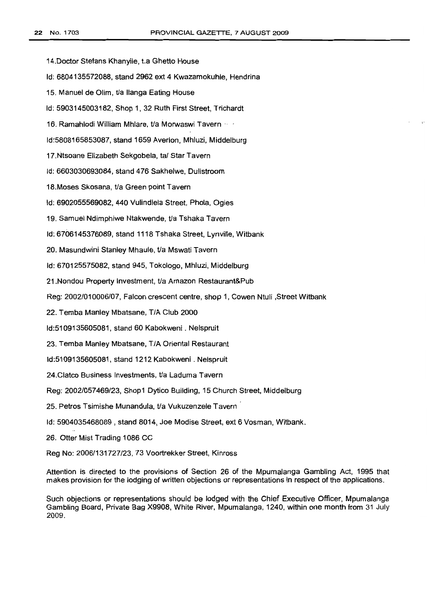14.Doctor Stefans Khanyile, t.a Ghetto House Id: 6804135572088, stand 2962 ext 4 Kwazamokuhle, Hendrina 15. Manuel de Olim, t/a lIanga Eating House Id: 5903145003182, Shop 1, 32 Ruth First Street, Trichardt 16. Ramahlodi William Mhlare, t/a Morwaswi Tavern· Id:5808165853087, stand 1659 Averlon, Mhluzi, Middelburg 17.Ntsoane Elizabeth Sekgobela, tal Star Tavern Id: 6603030693084, stand 476 Sakhelwe, Dullstroom 18.Moses Skosana, t/a Green point Tavern Id: 6902055569082, 440 Vulindlela Street, Phola, Ogies 19. Samuel Ndimphiwe Ntakwende, t/a Tshaka Tavern ld: 6706145376089, stand 1118 Tshaka Street, Lynville, Witbank 20. Masundwini Stanley Mhaule, t/a Mswati Tavern ld: 670125575082, stand 945, Tokologo, Mhluzi, Middelburg 21.Nondou Property Investment, t/a Amazon Restaurant&Pub Reg: 2002/010006/07, Falcon crescent centre, shop 1, Cowen Ntuli ,Street Witbank 22. Temba Manley Mbatsane, T/A Club 2000 Id:5109135605081, stand 60 Kabokweni . Nelspruit 23. Temba Manley Mbatsane, T/A Oriental Restaurant Id:5109135605081, stand 1212 Kabokweni . Nelspruit 24.Clatco Business Investments, t/a Laduma Tavern Reg: 2002/057469/23, Shop1 Dytico Building, 15 Church Street, Middelburg 25. Petros Tsimishe Munandula, t/a Vukuzenzele Tavern Id: 5904035468089 , stand 8014, Joe Modise Street, ext 6 Vosman, Witbank. 26. Otter Mist Trading 1086 CC Reg No: 2006/131727/23, 73 Voortrekker Street, Kinross

Attention is directed to the provisions of Section 26 of the Mpumalanga Gambling Act, 1995 that makes provision for the lodging of written objections or representations in respect of the applications.

Such objections or representations should be lodged with the Chief Executive Officer, Mpumalanga Gambling Board, Private Bag X9908, White River, Mpumalanga, 1240, within one month from 31 July 2009.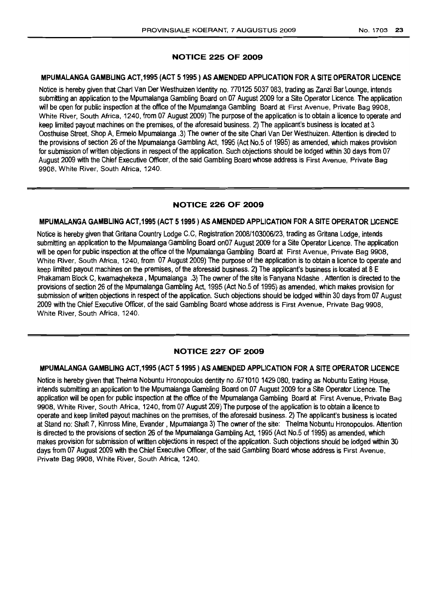# NOTICE 225 OF 2009

# MPUMALANGA GAMBLING ACT,1995 (ACT 51995) AS AMENDED APPLICATION FOR A SITE OPERATOR LICENCE

Notice is hereby given that Charl Van Der Westhuizen Identity no. 770125 5037 083, trading as Zanzi Bar Lounge, intends submitting an application to the Mpumalanga Gambling Board on 07 August 2009 for a Site Operator Licence. The application will be open for public inspection at the office of the Mpumalanga Gambling Board at First Avenue, Private Bag 9908, White River, South Africa, 1240, from 07 August 2009) The purpose of the application is to obtain a licence to operate and keep limited payout machines on the premises, of the aforesaid business. 2) The applicant's business is located at 3 Oosthuise Street, Shop A, Ermelo Mpumalanga .3) The owner of the site Charl Van Der Westhuizen. Attention is directed to the provisions of section 26 of the Mpumalanga Gambling Act, 1995 (Act No.5 of 1995) as amended, which makes provision for submission of written objections in respect of the application. Such objections should be lodged within 30 days from 07 August 2009 with the Chief Executive Officer, of the said Gambling Board whose address is First Avenue, Private Bag 9908, White River, South Africa, 1240.

# NOTICE 226 OF 2009

# MPUMALANGA GAMBLING ACT,1995 (ACT 51995) ASAMENDED APPLICATION FOR A SITE OPERATOR LICENCE

Notice is hereby given that Gritana Country Lodge C.C, Registration 2008/103006/23, trading asGritana Lodge, intends submitting an application to the Mpumalanga Gambling Board on07 August 2009 for a Site Operator Licence. The application will be open for public inspection at the office of the Mpumalanga Gambling Board at First Avenue, Private Bag 9908, White River, South Africa, 1240, from 07 August 2009) The purpose of the application is to obtain a licence to operate and keep limited payout machines on the premises, of the aforesaid business. 2) The applicant's business is located at 8 E Phakamam Block C, kwamaghekeza, Mpumalanga, 3) The owner of the site is Fanyana Ndashe. Attention is directed to the provisions of section 26 of the Mpumalanga Gambling Act, 1995 (Act No.5 of 1995) as amended, which makes provision for submission of written objections in respect of the application. Such objections should be lodged within 30 days from 07 August 2009 with the Chief Executive Officer, of the said Gambling Board whose address is First Avenue, Private Bag 9908, White River, South Africa, 1240.

# NOTICE 227 OF 2009

## MPUMALANGA GAMBLING ACT,1995 (ACT 51995) ASAMENDED APPLICATION FOR A SITE OPERATOR LICENCE

Notice is hereby given that Thelma Nobuntu Hronopoulos dentity no.6710101429080, trading as Nobuntu Eating House, intends submitting an application to the Mpumalanga Gambling Board on 07 August 2009 for a Site Operator Licence. The application will be open for public inspection at the office of the Mpumalanga Gambling Board at First Avenue, Private Bag 9908, White River, South Africa, 1240, from 07 August 209) The purpose of the application is to obtain a licence to operate and keep limited payout machines on the premises, of the aforesaid business. 2) The applicant's business is located at Stand no: Shaft 7, Kinross Mine, Evander, Mpumalanga 3) The owner of the site: Thelma Nobuntu Hronopoulos. Attention is directed to the provisions of section 26 of the Mpumalanga Gambling Act, 1995 (Act No.5 of 1995) as amended, which makes provision for submission of written objections in respect of the application. Such objections should be lodged within 30 days from 07 August 2009 with the Chief Executive Officer, of the said Gambling Board whose address is First Avenue, Private Bag 9908, White River, South Africa, 1240.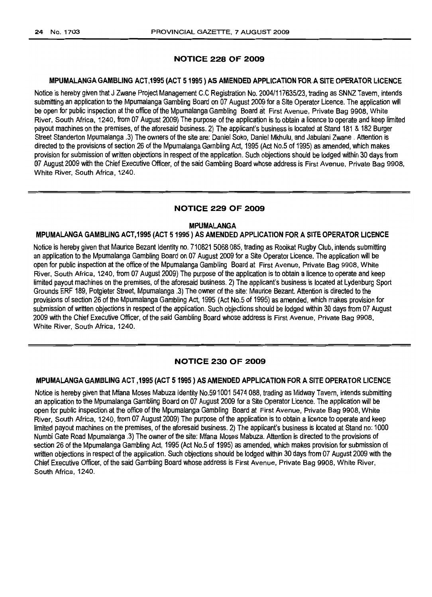# NOTICE 228 OF 2009

# MPUMALANGA GAMBLING ACT,1995 (ACT 51995) ASAMENDED APPLICATION FORASITE OPERATOR LiCENCE

Notice is hereby given that J Zwane Project Management C.C Registration No. 20041117635/23, trading as SNNZ Tavern, intends submitting an application to the Mpumalanga Gambling Board on 07 August 2009 for a Site Operator Licence. The application will be open for public inspection at the office of the Mpumalanga Gambling Board at First Avenue, Private Bag 9908, White River, South Africa, 1240, from 07 August 2009) The purpose ofthe application istoobtain a licence tooperate and keep limited payout machines on the premises, of the aforesaid business. 2) The applicant's business is located at Stand 181 & 182 Burger Street Standerton Mpumalanga .3) The owners of the site are: Daniel Soko, Daniel Mkhulu, and Jabulani Zwane . Attention is directed to the provisions of section 26 of the Mpumalanga Gambling Act, 1995 (Act No.5 of 1995) as amended, which makes provision for submission of written objections in respect of the application. Such objections should be lodged within 30 days from 07 August 2009 with the Chief Executive Officer, of the said Gambling Board whose address is First Avenue, Private Bag 9908, White River, South Africa, 1240.

#### NOTICE 229 OF 2009

#### MPUMALANGA

#### MPLIMALANGA GAMBLING ACT,1995 (ACT 51995) AS AMENDED APPLICATION FOR A SITE OPERATOR LICENCE

Notice is hereby given that Maurice Bezant Identity no. 710821 5068 085, trading as Rooikat Rugby Club, intends submitting an application to the Mpumalanga Gambling Board on 07 August 2009 for a Site Operator Licence. The application will be open for public inspection at the office of the Mpumalanga Gambling Board at First Avenue, Private Bag 9908, White River, South Africa, 1240, from 07 August 2009) The purpose ofthe application istoobtain alicence tooperate and keep limited payout machines on the premises, of the aforesaid business. 2) The applicant's business is located at Lydenburg Sport Grounds ERF 189, Potgieter Street, Mpumalanga .3) The owner ofthe site: Maurice Bezant. Attention isdirected tothe provisions of section 26 of the Mpumalanga Gambling Act, 1995 (Act No.5 of 1995) as amended, which makes provision for submission of written objections in respect of the application. Such objections should be lodged within 30 days from 07 August 2009 with the Chief Executive Officer, of the said Gambling Board whose address is First Avenue, Private Bag 9908, White River, South Africa, 1240.

## NOTICE 230 OF 2009

# MPUMALANGA GAMBLING ACT,1995 (ACT 51995 ) AS AMENDED APPLICATION FOR A SITE OPERATOR LICENCE

Notice is hereby given that Mfana Moses Mabuza Identity No.591001 5474 088, trading as Midway Tavern, intends submitting an application to the Mpumalanga Gambling Board on 07 August 2009 for a Site Operator Licence. The application will be open for public inspection at the office of the Mpumalanga Gambling Board at First Avenue, Private Bag 9908, White River, South Africa, 1240, from 07 August 2009) The purpose of the application is to obtain a licence to operate and keep limited payout machines on the premises, of the aforesaid business. 2) The applicant's business is located at Stand no: 1000 Numbi Gate Road Mpumalanga .3) The owner of the site: Mfana Moses Mabuza. Attention is directed to the provisions of section 26 of the Mpumalanga Gambling Act, 1995 (Act No.5 of 1995) as amended, which makes provision for submission of written objections in respect of the application. Such objections should be lodged within 30 days from 07 August 2009 with the Chief Executive Officer, of the said Gambling Board whose address is First Avenue, Private Bag 9908, White River, South Africa, 1240.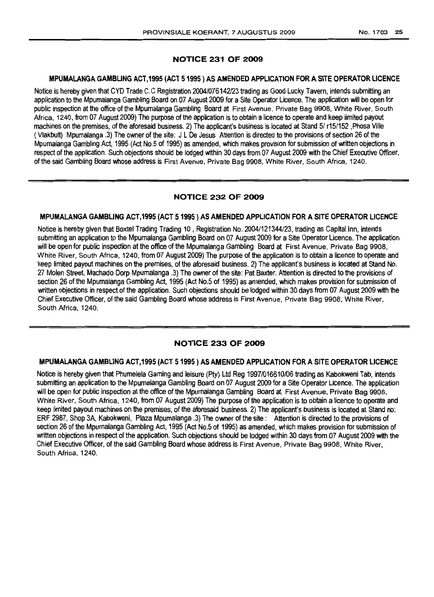# NOTICE 231 OF 2009

# MPUMALANGA GAMBLING ACT,1995 (ACT 51995) ASAMENDED APPLICATION FORASITE OPERATOR LICENCE

Notice is hereby given that CYD Trade C.C Registration 2004/076142/23 trading as Good Lucky Tavern, intends submitting an application tothe Mpumalanga Gambling Board on 07 August 2009 fora Site Operator Licence. The application will be open for public inspection atthe office ofthe Mpumalanga Gambling Board at First Avenue, Private Bag 9908, White River, South Africa, 1240, from 07 August 2009) The purpose of the application is to obtain a licence to operate and keep limited payout machines on the premises, of the aforesaid business. 2) The applicant's business is located at Stand 5/ r15/152, Phosa Ville (Vlakbult) Mpumalanga .3) The owner ofthe site: J L De Jesus Attention isdirected tothe provisions ofsection 26ofthe Mpumalanga Gambling Act, 1995 (Act No.5 of 1995) as amended, which makes provision for submission of written objections in respect of the application. Such objections should be lodged within 30 days from 07 August 2009 with the Chief Executive Officer, of the said Gambling Board whose address is First Avenue, Private Bag 9908, White River, South Africa, 1240.

# NOTICE 232 OF 2009

#### MPUMALANGA GAMBLING ACT,1995 (ACT 51995) AS AMENDED APPLICATION FOR A SITE OPERATOR LICENCE

Notice is hereby given that Boxtel Trading Trading 10, Registration No. 2004/121344/23, trading as Capital Inn, intends submitting an application to the Mpumalanga Gambling Board on 07 August 2009 for a Site Operator Licence. The application will be open for public inspection at the office of the Mpumalanga Gambling Board at First Avenue, Private Bag 9908, White River, South Africa, 1240, from 07 August 2009) The purpose of the application is to obtain a licence to operate and keep limited payout machines on the premises, of the aforesaid business. 2) The applicant's business is located at Stand No. 27 Molen Street, Machado Dorp Mpumalanga .3) The owner of thesite: Pat Baxter. Attention isdirected tothe provisions of section 26 of the Mpumalanga Gambling Act, 1995 (Act No.5 of 1995) as amended, which makes provision for submission of written objections in respect of the application. Such objections should be lodged within 30 days from 07 August 2009 with the Chief Executive Officer, of the said Gambling Board whose address is First Avenue, Private Bag 9908, White River, South Africa, 1240.

# NOTICE 233 OF 2009

#### MPUMALANGA GAMBLING ACT,1995 (ACT 51995) AS AMENDED APPI.ICATION FOR A SITE OPERATOR LICENCE

Notice is hereby given that Phumelela Gaming and leisure (Pty) Ltd Reg 1997/016610/06 trading as Kabokweni Tab, intends submitting an application to the Mpumalanga Gambling Board on 07 August 2009 for a Site Operator Licence. The application will be open for public inspection at the office of the Mpumalanga Gambling Board at First Avenue, Private Bag 9908, White River, South Africa, 1240, from 07 August 2009) The purpose of the application is to obtain a licence to operate and keep limited payout machines on the premises, of the aforesaid business. 2) The applicant's business is located at Stand no: ERF 2987, Shop 3A, Kabokweni, Plaza Mpumalanga .3) The owner of the site: Attention is directed to the provisions of section 26 of the Mpumalanga Gambling Act, 1995 (Act No.5 of 1995) as amended, which makes provision for submission of written objections in respect of the application. Such objections should be lodged within 30 days from 07 August 2009 with the Chief Executive Officer, of the said Gambling Board whose address is First Avenue, Private Bag 9908, White River, South Africa, 1240.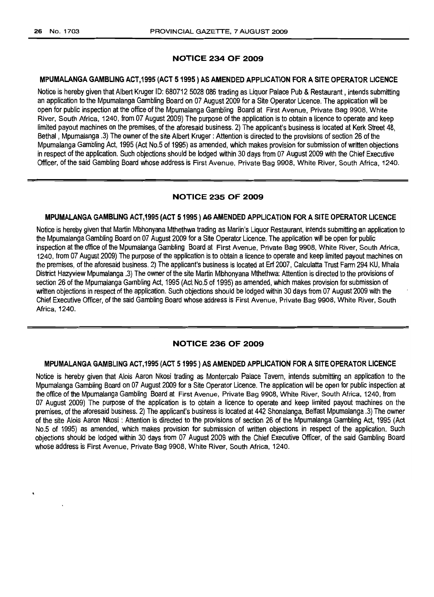# NOTICE 234 OF 2009

#### MPUMALANGA GAMBLING ACT,1995 (ACT 51995) AS AMENDED APPLICATION FOR A SITE OPERATOR LICENCE

Notice is hereby given that Albert Kruger ID: 680712 5028 086 trading as Liquor Palace Pub & Restaurant, intends submitting an application to the Mpumalanga Gambling Board on 07 August 2009 for a Site Operator Licence. The application will be open for public inspection at the office of the Mpumalanga Gambling Board at First Avenue, Private Bag 9908, White River, South Africa, 1240, from 07 August 2009) The purpose of the application is to obtain a licence to operate and keep limited payout machines on the premises, of the aforesaid business. 2) The applicant's business is located at Kerk Street 48, Bethal, Mpumalanga .3) The owner of the site Albert Kruger: Attention is directed to the provisions of section 26 of the Mpumalanga Gambling Act, 1995 (Act No.5 of 1995) as amended, which makes provision for submission of written objections in respect of the application. Such objections should be lodged within 30 days from 07 August 2009 with the Chief Executive Officer, of the said Gambling Board whose address is First Avenue, Private Bag 9908, White River, South Africa, 1240.

# NOTICE 235 OF 2009

#### MPUMALANGA GAMBLING ACT,1995 (ACT 5 1995 ) ASAMENDED APPLICATION FOR A SITE OPERATOR LICENCE

Notice ishereby given that Martin Mbhonyana Mthethwa trading as Marlin's Liquor Restaurant, intends submitting an application to the Mpumalanga Gambling Board on 07 August 2009 for a Site Operator Licence. The application will be open for public inspection at the office of the Mpumalanga Gambling Board at First Avenue, Private Bag 9908, White River, South Africa, 1240, from 07 August 2009) The purpose of the application is to obtain a licence to operate and keep limited payout machines on the premises, of the aforesaid business. 2) The applicant's business is located at Erf 2007, Calculatta Trust Farm 294 KU, Mhala District Hazyview Mpumalanga .3) The owner of the site Martin Mbhonyana Mthethwa: Attention is directed to the provisions of section 26 of the Mpumalanga Gambling Act, 1995 (Act No.5 of 1995) as amended, which makes provision for submission of written objections in respect of the application. Such objections should be lodged within 30 days from 07 August 2009 with the Chief Executive Officer, of the said Gambling Board whose address is First Avenue, Private Bag 9908, White River, South Africa, 1240.

## NOTICE 236 OF 2009

#### MPUMALANGA GAMBLING ACT,1995 (ACT 51995) AS AMENDED APPLICATION FOR A SITE OPERATOR LICENCE

Notice is hereby given that Alois Aaron Nkosi trading as Montercalo Palace Tavern, intends submitting an application to the Mpumalanga Gambling Board on 07 August 2009 for a Site Operator Licence. The application will be open for public inspection at the office of the Mpumalanga Gambling Board at First Avenue, Private Bag 9908, White River, South Africa, 1240, from 07 August 2009) The purpose of the application is to obtain a licence to operate and keep limited payout machines on the premises, ofthe aforesaid business. 2)The applicant's business is located at442 Shonalanga, Belfast Mpumalanga .3) The owner ofthe site Alois Aaron Nkosi : Attention is directed to the provisions of section 26 of the Mpumalanga Gambling Act, 1995 (Act No.5 of 1995) as amended, which makes provision for submission of written objections in respect of the application. Such objections should be lodged within 30 days from 07 August 2009 with the Chief Executive Officer, of the said Gambling Board whose address is First Avenue, Private Bag 9908, White River, South Africa, 1240.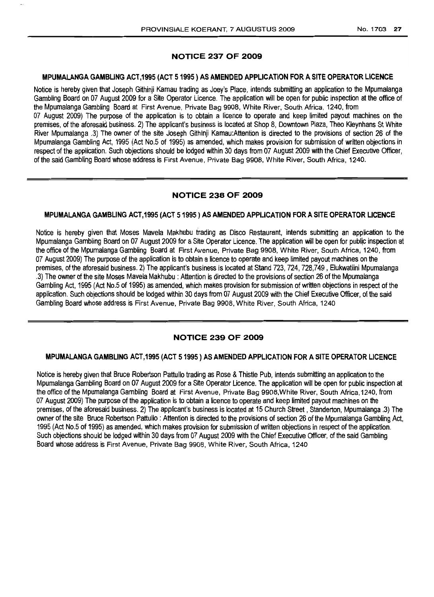# NOTICE 237 OF 2009

# MPUMALANGA GAMBLING ACT,1995 (ACT 51995) ASAMENDED APPLICATION FOR ASITE OPERATOR LICENCE

Notice is hereby given that Joseph Githinji Kamau trading as Joey's Place, intends submitting an application to the Mpumalanga Gambling Board on 07 August 2009 for a Site Operator Licence. The application will be open for public inspection at the office of the Mpumalanga Gambling Board at First Avenue. Private Bag 9908, White River, South Africa, 1240, from 07 August 2009) The purpose of the application is to obtain a licence to operate and keep limited payout machines on the premises, of the aforesaid business. 2) The applicant's business is located at Shop 8, Downtown Plaza, Theo Kleynhans St White River Mpumalanga .3) The owner of the site Joseph Githinji Kamau:Atlention is directed to the provisions of section 26 of the Mpumalanga Gambling Act, 1995 (Act No.5 of 1995) as amended, which makes provision for submission of written objections in respect of the application. Such objections should be lodged within 30 days from 07 August 2009 with the Chief Executive Officer, of the said Gambling Board whose address is First Avenue, Private Bag 9908, White River, South Africa, 1240.

# NOTICE 238 OF 2009

# MPUMALANGA GAMBLING ACT,1995 (ACT 51995) ASAMENDED APPLICATION FOR A SITE OPERATOR LICENCE

Notice is hereby given that Moses Mavela Makhubu trading as Disco Restaurant, intends submitting an application to the Mpumalanga Gambling Board on 07 August 2009 for a Site Operator Licence. The application will be open for public inspection at the office of the Mpumalanga Gambling Board at First Avenue, Private Bag 9908, White River, South Africa, 1240, from 07 August 2009) The purpose of the application is to obtain a licence to operate and keep limited payout machines on the premises, of the aforesaid business. 2) The applicant's business is located at Stand 723, 724, 728,749, Elukwatiini Mpumalanga .3) The owner of the site Moses Mavela Makhubu : Attention is directed to the provisions of section 26 of the Mpumalanga Gambling Act, 1995 (Act No.5 of 1995) as amended, which makes provision for submission of written objections in respect of the application. Such objections should be lodged within 30 days from 07 August 2009 with the Chief Executive Officer, of the said Gambling Board whose address is First Avenue, Private Bag 9908, White River, South Africa, 1240

# NOTICE 239 OF 2009

#### MPUMALANGA GAMBLING ACT,1995 (ACT 5 1995 ) ASAMENDED APPLICATION FOR A SITE OPERATOR LICENCE

Notice is hereby given that Bruce Robertson Pattullo trading as Rose & Thistle Pub, intends submitting an application to the Mpumalanga Gambling Board on 07 August 2009 for a Site Operator Licence. The application will be open for public inspection at the office of the Mpumalanga Gambling Board at First Avenue, Private Bag 9908, White River, South Africa. 1240, from 07 August 2009) The purpose of the application is to obtain a licence to operate and keep limited payout machines on the premises, ofthe aforesaid business. 2)The applicant's business is located at 15 Church Street, Standerton, Mpumalanga .3)The owner of the site Bruce Robertson Pattullo: Attention is directed to the provisions of section 26 of the Mpumalanga Gambling Act, 1995 (Act No.5 of 1995) as amended, which makes provision for submission of written objections in respect of the application. Such objections should be lodged within 30 days from 07 August 2009 with the Chief Executive Officer, of the said Gambling Board whose address is First Avenue, Private Bag 9908, White River, South Africa, 1240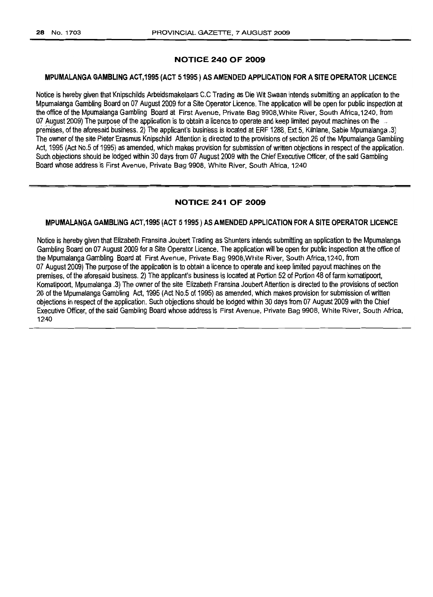# NOTICE 240 OF 2009

#### MPLIMALANGA GAMBLING ACT,1995 (ACT 51995) ASAMENDED APPLICATION FOR A SITE OPERATOR LICENCE

Notice is hereby given that Knipschilds Arbeidsmakelaars C.C Trading as Die Wit Swaan intends submitting an application to the Mpumalanga Gambling Board on 07 August 2009 fora Site Operator Licence. The application will be open forpublic inspection at the office of the Mpumalanga Gambling Board at First Avenue, Private Bag 9908, White River, South Africa, 1240, from 07 August 2009) The purpose of the application is to obtain a licence to operate and keep limited payout machines on the. premises, of the aforesaid business. 2) The applicant's business is located at ERF 1288, Ext 5, Kilnlane, Sabie Mpumalanga .3) The owner of the site Pieter Erasmus Knipschild Attention is directed to the provisions of section 26 of the Mpumalanga Gambling Act. 1995 (Act No.5 of 1995) as amended, which makes provision for submission of written objections in respect of the application. Such objections should be lodged within 30 days from 07 August 2009 with the Chief Executive Officer, of the said Gambling Board whose address is First Avenue, Private Bag 9908, White River, South Africa, 1240

# NOTICE 241 OF 2009

#### MPUMALANGA GAMBLING ACT,1995 (ACT 51995) AS AMENDED APPLICATION FOR A SITE OPERATOR LICENCE

Notice is hereby given that Elizabeth Fransina Joubert Trading as Shunters intends submitting an application to the Mpumalanga Gambling Board on 07 August 2009 for a Site Operator Licence. The application will be open for public inspection at the office of theMpumalanga Gambling Board at First Avenue, Private Bag 9908,White River, South Africa, 1240, from 07 August 2009) The purpose of the application is to obtain a licence to operate and keep limited payout machines on the premises, of the aforesaid business. 2) The applicant's business is located at Portion 52 of Portion 48 of farm komatipoort, Komatipoort, Mpumalanga .3) The owner of the site Elizabeth Fransina Joubert Attention is directed to the provisions of section 26 of the Mpumalanga Gambling Act, 1995 (Act No.5 of 1995) as amended, which makes provision for submission of written objections inrespect ofthe application. Such objections should be lodged within 30 days from 07 August 2009 with the Chief Executive Officer, of the said Gambling Board whose address is First Avenue, Private Bag 9908, White River, South Africa, 1240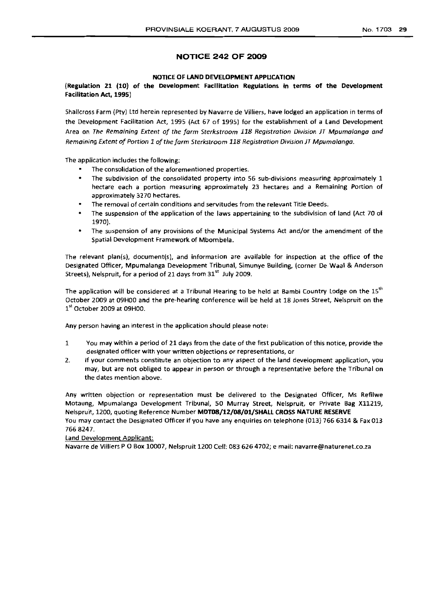# NOTICE 242 OF 2009

# NOTICE OF LAND DEVELOPMENT APPLICATION

(Regulation 21 (10) of the Development Facilitation Regulations in terms of the Development Facilitation Act, 1995)

Shallcross Farm (Pty) Ltd herein represented by Navarre de Villiers, have lodged an application in terms of the Development Facilitation Act, 1995 (Act 67 of 1995) for the establishment of a Land Development Area on The Remaining Extent of the farm Sterkstroom 118 Registration Division JT Mpumalanga and Remaining Extent of Portion 1 of the farm Sterkstroom 118 Registration Division JT Mpumalanga.

The application includes the following:

- The consolidation of the aforementioned properties.
- The subdivision of the consolidated property into 56 sub-divisions measuring approximately 1 hectare each a portion measuring approximately 23 hectares and a Remaining Portion of approximately 3270 hectares.
- The removal of certain conditions and servitudes from the relevant Title Deeds.
- The suspension of the application of the laws appertaining to the subdivision of land (Act 70 of 1970).
- The suspension of any provisions of the Municipal Systems Act and/or the amendment of the Spatial Development Framework of Mbombela.

The relevant plan(s), document(s), and information are available for inspection at the office of the Designated Officer, Mpumalanga Development Tribunal, Simunye Building, (corner De Waal & Anderson Streets), Nelspruit, for a period of 21 days from  $31<sup>st</sup>$  July 2009.

The application will be considered at a Tribunal Hearing to be held at Bambi Country Lodge on the  $15^{th}$ October 2009 at 09HOO and the pre-hearing conference will be held at 18 Jones Street, Nelspruit on the  $1<sup>st</sup>$  October 2009 at 09H00.

Any person having an interest in the application should please note:

- 1 You may within a period of 21 days from the date of the first publication of this notice, provide the designated officer with your written objections or representations, or
- 2. If your comments constitute an objection to any aspect of the land development application, you rnav, but are not obliged to appear in person or through a representative before the Tribunal on the dates mention above.

Any written objection or representation must be delivered to the Designated Officer, Ms Refilwe Motaung, Mpumalanga Development Tribunal, 50 Murray Street, Nelspruit, or Private Bag X11219, Nelspruit, 1200, quoting Reference Number MDTD8/12/D8/01/SHALL CROSS NATURE RESERVE You may contact the Designated Officer if you have any enquiries on telephone (013) 7666314 & Fax 013 7668247.

Land Development Applicant:

Navarre de Villiers POBox 10007, Nelspruit 1200 Cell: 083 6264702; email: navarre@naturenet.co.za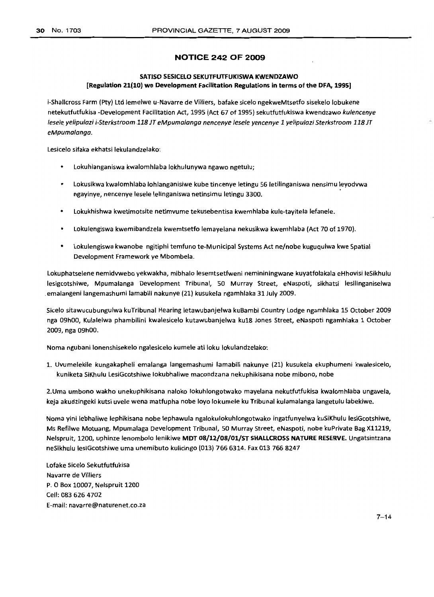# **NOTICE 242 OF 2009**

# **SATISO SESICELO SEKUTFUTFUKISWA KWENDZAWO [Regulation 21(10) we Development Facilitation Regulations in terms of the DFA, 1995]**

i-Shallcross Farm (Pty) Ltd lemelwe u-Navarre de Villiers, bafake sicelo ngekweMtsetfo sisekelo lobukene netekutfutfukisa -Development Facilitation Act, 1995 (Act 67 of 1995) sekutfutfukiswa kwendzawo kulencenye lesele yelipulazi i-Sterkstroom 118 JT eMpumalanga nencenye lesele yencenye 1 yelipulazi Sterkstroom 118 JT eMpumalanga.

Lesicelo sifaka ekhatsi lekulandzelako:

- $\bullet$ Lokuhlanganiswa kwalomhlaba lokhulunywa ngawo ngetulu;
- Lokusikwa kwalomhlaba lohlanganisiwe kube tincenye letingu 56 letilinganiswa nensimu leyodvwa ngayinye, nencenye lesele lelinganiswa netinsimu letingu 3300.
- Lokukhishwa kwetimotsite netimvume tekusebentisa kwemhlaba kule-tayitela lefanele.
- Lokulengiswa kwemibandzela kwemtsetfo lemayelana nekusikwa kwemhlaba (Act 70 of 1970).
- Lokulengiswa kwanobe ngitiphi temfuno te-Municipal Systems Act ne/nobe kuguqulwa kwe Spatial Development Framework ye Mbombela.

Lokuphatselene nemidvwebo yekwakha, mibhalo lesemtsetfweni nemininingwane kuyatfolakala eHhovisi leSikhulu lesigcotshiwe, Mpumalanga Development Tribunal, 50 Murray Street, eNaspoti, sikhatsi lesilinganiselwa .emalangeni langemashumi lamabili nakunye (21) kusukela ngamhlaka 31 July 2009.

Sicelo sitawucubungulwa kuTribunal Hearing letawubanjelwa kuBambi Country Lodge ngamhlaka 15 October 2009 nga 09hOO, Kulalelwa phambilini kwalesicelo kutawubanjelwa ku18 Jones Street, eNaspoti ngamhlaka 1 October 2009, nga 09hOO.

Noma ngubani lonenshisekelo ngalesicelo kumele ati loku lokulandzelako:

1. Uvumelekile kungakapheli emalanga langemashumi lamabili nakunye (21) kusukela ekuphumeni kwalesicelo, kuniketa SiKhulu LesiGcotshiwe lokubhaliwe macondzana nekuphikisana nobe mibono, nobe

2.Uma umbono wakho unekuphikisana naloko lokuhlongotwako mayelana nekutfutfukisa kwalomhlaba ungavela, keja akudzingeki kutsi uvele wena matfupha nobe loyo lokumele ku Tribunal kulamalanga langetulu labekiwe.

Noma yini lebhaliwe lephikisana nobe lephawula ngalokulokuhlongotwako ingatfunyelwa kuSiKhulu lesiGcotshiwe, Ms Refilwe Motuang, Mpumalaga Development Tribunal, 50 Murray Street, eNaspoti, nobe kuPrivate Bag X11219, Nelspruit, 1200, uphinze lenombolo lenikiwe **MDT 08/12/08/01/ST SHALLCROSS NATURE RESERVE.** Ungatsintzana neSikhulu lesiGcotshiwe uma unemibuto kulicingo (013) 766 6314. Fax013 766 8247

Lofake Sicelo Sekutfutfukisa Navarre de Villiers P. 0 Box 10007, Nelspruit 1200 Cell: 083 626 4702 E-mail: navarre@naturenet.co.za